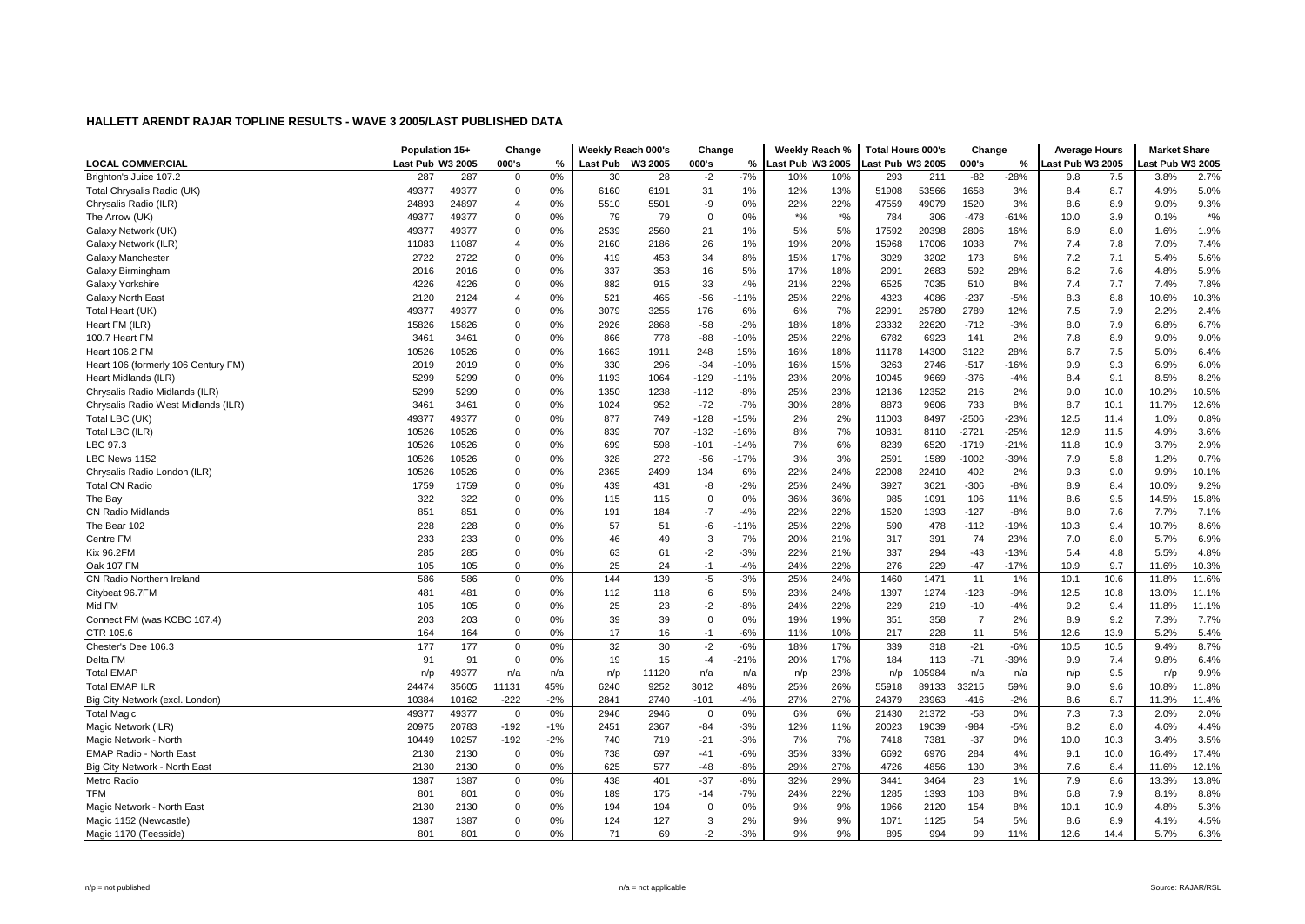|                                     | Population 15+   |       | Change         |       | Weekly Reach 000's |         | Change      |        | Weekly Reach %   |                            | <b>Total Hours 000's</b> |        | Change         |        | <b>Average Hours</b> |      | <b>Market Share</b> |        |
|-------------------------------------|------------------|-------|----------------|-------|--------------------|---------|-------------|--------|------------------|----------------------------|--------------------------|--------|----------------|--------|----------------------|------|---------------------|--------|
| <b>LOCAL COMMERCIAL</b>             | Last Pub W3 2005 |       | 000's          | %     | <b>Last Pub</b>    | W3 2005 | 000's       | %      | Last Pub W3 2005 |                            | ast Pub W3 2005          |        | 000's          | %      | Last Pub W3 2005     |      | ast Pub W3 2005     |        |
| Brighton's Juice 107.2              | 287              | 287   | $\mathbf 0$    | 0%    | 30                 | 28      | $-2$        | $-7%$  | 10%              | 10%                        | 293                      | 211    | $-82$          | $-28%$ | 9.8                  | 7.5  | 3.8%                | 2.7%   |
| Total Chrysalis Radio (UK)          | 49377            | 49377 | $\mathbf 0$    | 0%    | 6160               | 6191    | 31          | 1%     | 12%              | 13%                        | 51908                    | 53566  | 1658           | 3%     | 8.4                  | 8.7  | 4.9%                | 5.0%   |
| Chrysalis Radio (ILR)               | 24893            | 24897 | 4              | 0%    | 5510               | 5501    | -9          | 0%     | 22%              | 22%                        | 47559                    | 49079  | 1520           | 3%     | 8.6                  | 8.9  | 9.0%                | 9.3%   |
| The Arrow (UK)                      | 49377            | 49377 | 0              | 0%    | 79                 | 79      | $\mathbf 0$ | 0%     | $*9/6$           | $\boldsymbol{^{*0}}\!/\!o$ | 784                      | 306    | $-478$         | $-61%$ | 10.0                 | 3.9  | 0.1%                | $*9/0$ |
| Galaxy Network (UK)                 | 49377            | 49377 | $\mathbf 0$    | 0%    | 2539               | 2560    | 21          | 1%     | 5%               | 5%                         | 17592                    | 20398  | 2806           | 16%    | 6.9                  | 8.0  | 1.6%                | 1.9%   |
| Galaxy Network (ILR)                | 11083            | 11087 | $\overline{4}$ | 0%    | 2160               | 2186    | 26          | 1%     | 19%              | 20%                        | 15968                    | 17006  | 1038           | 7%     | 7.4                  | 7.8  | 7.0%                | 7.4%   |
| Galaxy Manchester                   | 2722             | 2722  | 0              | 0%    | 419                | 453     | 34          | 8%     | 15%              | 17%                        | 3029                     | 3202   | 173            | 6%     | 7.2                  | 7.1  | 5.4%                | 5.6%   |
| Galaxy Birmingham                   | 2016             | 2016  | 0              | 0%    | 337                | 353     | 16          | 5%     | 17%              | 18%                        | 2091                     | 2683   | 592            | 28%    | 6.2                  | 7.6  | 4.8%                | 5.9%   |
| Galaxy Yorkshire                    | 4226             | 4226  | $\mathbf 0$    | 0%    | 882                | 915     | 33          | 4%     | 21%              | 22%                        | 6525                     | 7035   | 510            | 8%     | 7.4                  | 7.7  | 7.4%                | 7.8%   |
| Galaxy North East                   | 2120             | 2124  | $\overline{4}$ | 0%    | 521                | 465     | $-56$       | $-11%$ | 25%              | 22%                        | 4323                     | 4086   | $-237$         | $-5%$  | 8.3                  | 8.8  | 10.6%               | 10.3%  |
| Total Heart (UK)                    | 49377            | 49377 | 0              | 0%    | 3079               | 3255    | 176         | 6%     | 6%               | 7%                         | 22991                    | 25780  | 2789           | 12%    | 7.5                  | 7.9  | 2.2%                | 2.4%   |
| Heart FM (ILR)                      | 15826            | 15826 | 0              | 0%    | 2926               | 2868    | $-58$       | $-2%$  | 18%              | 18%                        | 23332                    | 22620  | $-712$         | $-3%$  | 8.0                  | 7.9  | 6.8%                | 6.7%   |
| 100.7 Heart FM                      | 3461             | 3461  | 0              | 0%    | 866                | 778     | $-88$       | $-10%$ | 25%              | 22%                        | 6782                     | 6923   | 141            | 2%     | 7.8                  | 8.9  | 9.0%                | 9.0%   |
| <b>Heart 106.2 FM</b>               | 10526            | 10526 | 0              | 0%    | 1663               | 1911    | 248         | 15%    | 16%              | 18%                        | 11178                    | 14300  | 3122           | 28%    | 6.7                  | 7.5  | 5.0%                | 6.4%   |
| Heart 106 (formerly 106 Century FM) | 2019             | 2019  | $\Omega$       | 0%    | 330                | 296     | $-34$       | $-10%$ | 16%              | 15%                        | 3263                     | 2746   | $-517$         | $-16%$ | 9.9                  | 9.3  | 6.9%                | 6.0%   |
| Heart Midlands (ILR)                | 5299             | 5299  | $\mathbf 0$    | 0%    | 1193               | 1064    | $-129$      | $-11%$ | 23%              | 20%                        | 10045                    | 9669   | $-376$         | $-4%$  | 8.4                  | 9.1  | 8.5%                | 8.2%   |
| Chrysalis Radio Midlands (ILR)      | 5299             | 5299  | 0              | 0%    | 1350               | 1238    | $-112$      | $-8%$  | 25%              | 23%                        | 12136                    | 12352  | 216            | 2%     | 9.0                  | 10.0 | 10.2%               | 10.5%  |
| Chrysalis Radio West Midlands (ILR) | 3461             | 3461  | 0              | 0%    | 1024               | 952     | $-72$       | $-7%$  | 30%              | 28%                        | 8873                     | 9606   | 733            | 8%     | 8.7                  | 10.1 | 11.7%               | 12.6%  |
| Total LBC (UK)                      | 49377            | 49377 | 0              | 0%    | 877                | 749     | $-128$      | $-15%$ | 2%               | 2%                         | 11003                    | 8497   | $-2506$        | $-23%$ | 12.5                 | 11.4 | 1.0%                | 0.8%   |
| Total LBC (ILR)                     | 10526            | 10526 | $\mathbf 0$    | 0%    | 839                | 707     | $-132$      | $-16%$ | 8%               | 7%                         | 10831                    | 8110   | $-2721$        | $-25%$ | 12.9                 | 11.5 | 4.9%                | 3.6%   |
| LBC 97.3                            | 10526            | 10526 | $\mathbf 0$    | 0%    | 699                | 598     | $-101$      | $-14%$ | 7%               | 6%                         | 8239                     | 6520   | $-1719$        | $-21%$ | 11.8                 | 10.9 | 3.7%                | 2.9%   |
| LBC News 1152                       | 10526            | 10526 | 0              | 0%    | 328                | 272     | $-56$       | $-17%$ | 3%               | 3%                         | 2591                     | 1589   | $-1002$        | $-39%$ | 7.9                  | 5.8  | 1.2%                | 0.7%   |
| Chrysalis Radio London (ILR)        | 10526            | 10526 | 0              | 0%    | 2365               | 2499    | 134         | 6%     | 22%              | 24%                        | 22008                    | 22410  | 402            | 2%     | 9.3                  | 9.0  | 9.9%                | 10.1%  |
| <b>Total CN Radio</b>               | 1759             | 1759  | 0              | 0%    | 439                | 431     | -8          | $-2%$  | 25%              | 24%                        | 3927                     | 3621   | $-306$         | $-8%$  | 8.9                  | 8.4  | 10.0%               | 9.2%   |
| The Bay                             | 322              | 322   | 0              | 0%    | 115                | 115     | $\mathbf 0$ | 0%     | 36%              | 36%                        | 985                      | 1091   | 106            | 11%    | 8.6                  | 9.5  | 14.5%               | 15.8%  |
| <b>CN Radio Midlands</b>            | 851              | 851   | 0              | 0%    | 191                | 184     | $-7$        | $-4%$  | 22%              | 22%                        | 1520                     | 1393   | $-127$         | $-8%$  | 8.0                  | 7.6  | 7.7%                | 7.1%   |
| The Bear 102                        | 228              | 228   | $\mathbf 0$    | 0%    | 57                 | 51      | -6          | $-11%$ | 25%              | 22%                        | 590                      | 478    | $-112$         | $-19%$ | 10.3                 | 9.4  | 10.7%               | 8.6%   |
| Centre FM                           | 233              | 233   | 0              | 0%    | 46                 | 49      | 3           | 7%     | 20%              | 21%                        | 317                      | 391    | 74             | 23%    | 7.0                  | 8.0  | 5.7%                | 6.9%   |
| <b>Kix 96.2FM</b>                   | 285              | 285   | 0              | 0%    | 63                 | 61      | $-2$        | $-3%$  | 22%              | 21%                        | 337                      | 294    | $-43$          | $-13%$ | 5.4                  | 4.8  | 5.5%                | 4.8%   |
| Oak 107 FM                          | 105              | 105   | $\mathbf 0$    | 0%    | 25                 | 24      | $-1$        | $-4%$  | 24%              | 22%                        | 276                      | 229    | $-47$          | $-17%$ | 10.9                 | 9.7  | 11.6%               | 10.3%  |
| CN Radio Northern Ireland           | 586              | 586   | $\mathbf 0$    | 0%    | 144                | 139     | $-5$        | $-3%$  | 25%              | 24%                        | 1460                     | 1471   | 11             | 1%     | 10.1                 | 10.6 | 11.8%               | 11.6%  |
| Citybeat 96.7FM                     | 481              | 481   | 0              | 0%    | 112                | 118     | 6           | 5%     | 23%              | 24%                        | 1397                     | 1274   | $-123$         | $-9%$  | 12.5                 | 10.8 | 13.0%               | 11.1%  |
| Mid FM                              | 105              | 105   | $\mathbf 0$    | 0%    | 25                 | 23      | $-2$        | $-8%$  | 24%              | 22%                        | 229                      | 219    | $-10$          | $-4%$  | 9.2                  | 9.4  | 11.8%               | 11.1%  |
| Connect FM (was KCBC 107.4)         | 203              | 203   | 0              | 0%    | 39                 | 39      | $\mathbf 0$ | 0%     | 19%              | 19%                        | 351                      | 358    | $\overline{7}$ | 2%     | 8.9                  | 9.2  | 7.3%                | 7.7%   |
| CTR 105.6                           | 164              | 164   | 0              | 0%    | 17                 | 16      | $-1$        | $-6%$  | 11%              | 10%                        | 217                      | 228    | 11             | 5%     | 12.6                 | 13.9 | 5.2%                | 5.4%   |
| Chester's Dee 106.3                 | 177              | 177   | $\mathbf 0$    | 0%    | 32                 | 30      | $-2$        | $-6%$  | 18%              | 17%                        | 339                      | 318    | $-21$          | $-6%$  | 10.5                 | 10.5 | 9.4%                | 8.7%   |
| Delta FM                            | 91               | 91    | $\mathbf 0$    | 0%    | 19                 | 15      | $-4$        | $-21%$ | 20%              | 17%                        | 184                      | 113    | $-71$          | -39%   | 9.9                  | 7.4  | 9.8%                | 6.4%   |
| <b>Total EMAP</b>                   | n/p              | 49377 | n/a            | n/a   | n/p                | 11120   | n/a         | n/a    | n/p              | 23%                        | n/p                      | 105984 | n/a            | n/a    | n/p                  | 9.5  | n/p                 | 9.9%   |
| <b>Total EMAP ILR</b>               | 24474            | 35605 | 11131          | 45%   | 6240               | 9252    | 3012        | 48%    | 25%              | 26%                        | 55918                    | 89133  | 33215          | 59%    | 9.0                  | 9.6  | 10.8%               | 11.8%  |
| Big City Network (excl. London)     | 10384            | 10162 | $-222$         | $-2%$ | 2841               | 2740    | $-101$      | $-4%$  | 27%              | 27%                        | 24379                    | 23963  | -416           | $-2%$  | 8.6                  | 8.7  | 11.3%               | 11.4%  |
| <b>Total Magic</b>                  | 49377            | 49377 | $\mathbf{0}$   | 0%    | 2946               | 2946    | $\mathbf 0$ | 0%     | 6%               | 6%                         | 21430                    | 21372  | $-58$          | 0%     | 7.3                  | 7.3  | 2.0%                | 2.0%   |
| Magic Network (ILR)                 | 20975            | 20783 | $-192$         | $-1%$ | 2451               | 2367    | $-84$       | $-3%$  | 12%              | 11%                        | 20023                    | 19039  | $-984$         | $-5%$  | 8.2                  | 8.0  | 4.6%                | 4.4%   |
| Magic Network - North               | 10449            | 10257 | $-192$         | $-2%$ | 740                | 719     | $-21$       | $-3%$  | 7%               | 7%                         | 7418                     | 7381   | $-37$          | 0%     | 10.0                 | 10.3 | 3.4%                | 3.5%   |
| EMAP Radio - North East             | 2130             | 2130  | $\mathbf 0$    | 0%    | 738                | 697     | $-41$       | $-6%$  | 35%              | 33%                        | 6692                     | 6976   | 284            | 4%     | 9.1                  | 10.0 | 16.4%               | 17.4%  |
| Big City Network - North East       | 2130             | 2130  | $\mathbf 0$    | 0%    | 625                | 577     | $-48$       | $-8%$  | 29%              | 27%                        | 4726                     | 4856   | 130            | 3%     | 7.6                  | 8.4  | 11.6%               | 12.1%  |
| Metro Radio                         | 1387             | 1387  | 0              | 0%    | 438                | 401     | $-37$       | $-8%$  | 32%              | 29%                        | 3441                     | 3464   | 23             | 1%     | 7.9                  | 8.6  | 13.3%               | 13.8%  |
| TFM                                 | 801              | 801   | 0              | 0%    | 189                | 175     | $-14$       | $-7%$  | 24%              | 22%                        | 1285                     | 1393   | 108            | 8%     | 6.8                  | 7.9  | 8.1%                | 8.8%   |
| Magic Network - North East          | 2130             | 2130  | 0              | 0%    | 194                | 194     | $\mathbf 0$ | 0%     | 9%               | 9%                         | 1966                     | 2120   | 154            | 8%     | 10.1                 | 10.9 | 4.8%                | 5.3%   |
| Magic 1152 (Newcastle)              | 1387             | 1387  | 0              | 0%    | 124                | 127     | 3           | 2%     | 9%               | 9%                         | 1071                     | 1125   | 54             | 5%     | 8.6                  | 8.9  | 4.1%                | 4.5%   |
| Magic 1170 (Teesside)               | 801              | 801   | $\Omega$       | 0%    | 71                 | 69      | $-2$        | $-3%$  | 9%               | 9%                         | 895                      | 994    | 99             | 11%    | 12.6                 | 14.4 | 5.7%                | 6.3%   |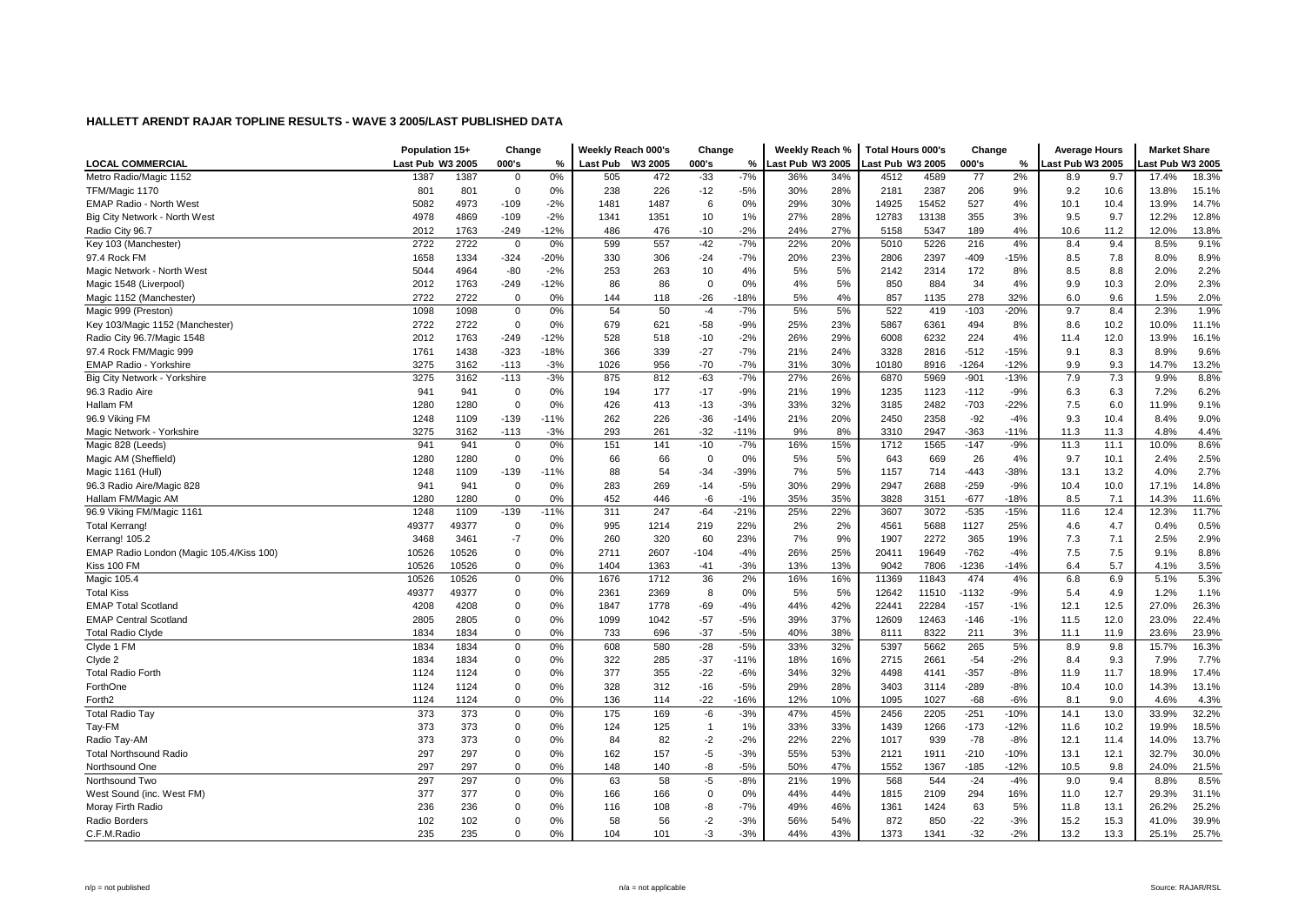|                                          | Population 15+   |       | Change         |        | Weekly Reach 000's |         | Change         |        | Weekly Reach %   |     | <b>Total Hours 000's</b> |       | Change  |        | <b>Average Hours</b> |      | <b>Market Share</b> |       |
|------------------------------------------|------------------|-------|----------------|--------|--------------------|---------|----------------|--------|------------------|-----|--------------------------|-------|---------|--------|----------------------|------|---------------------|-------|
| <b>LOCAL COMMERCIAL</b>                  | Last Pub W3 2005 |       | 000's          | %      | <b>Last Pub</b>    | W3 2005 | 000's          | %      | Last Pub W3 2005 |     | ast Pub W3 2005          |       | 000's   | %      | ast Pub W3 2005      |      | ast Pub W3 2005     |       |
| Metro Radio/Magic 1152                   | 1387             | 1387  | $\mathbf 0$    | 0%     | 505                | 472     | $-33$          | $-7%$  | 36%              | 34% | 4512                     | 4589  | 77      | 2%     | 8.9                  | 9.7  | 17.4%               | 18.3% |
| TFM/Magic 1170                           | 801              | 801   | $\mathbf 0$    | 0%     | 238                | 226     | $-12$          | $-5%$  | 30%              | 28% | 2181                     | 2387  | 206     | 9%     | 9.2                  | 10.6 | 13.8%               | 15.1% |
| <b>EMAP Radio - North West</b>           | 5082             | 4973  | $-109$         | $-2%$  | 1481               | 1487    | 6              | 0%     | 29%              | 30% | 14925                    | 15452 | 527     | 4%     | 10.1                 | 10.4 | 13.9%               | 14.7% |
| Big City Network - North West            | 4978             | 4869  | $-109$         | $-2%$  | 1341               | 1351    | 10             | 1%     | 27%              | 28% | 12783                    | 13138 | 355     | 3%     | 9.5                  | 9.7  | 12.2%               | 12.8% |
| Radio City 96.7                          | 2012             | 1763  | -249           | $-12%$ | 486                | 476     | $-10$          | $-2%$  | 24%              | 27% | 5158                     | 5347  | 189     | 4%     | 10.6                 | 11.2 | 12.0%               | 13.8% |
| Key 103 (Manchester)                     | 2722             | 2722  | $\overline{0}$ | 0%     | 599                | 557     | $-42$          | $-7%$  | 22%              | 20% | 5010                     | 5226  | 216     | 4%     | 8.4                  | 9.4  | 8.5%                | 9.1%  |
| 97.4 Rock FM                             | 1658             | 1334  | $-324$         | $-20%$ | 330                | 306     | $-24$          | $-7%$  | 20%              | 23% | 2806                     | 2397  | $-409$  | $-15%$ | 8.5                  | 7.8  | 8.0%                | 8.9%  |
| Magic Network - North West               | 5044             | 4964  | -80            | $-2%$  | 253                | 263     | 10             | 4%     | 5%               | 5%  | 2142                     | 2314  | 172     | 8%     | 8.5                  | 8.8  | 2.0%                | 2.2%  |
| Magic 1548 (Liverpool)                   | 2012             | 1763  | $-249$         | $-12%$ | 86                 | 86      | $\Omega$       | 0%     | 4%               | 5%  | 850                      | 884   | 34      | 4%     | 9.9                  | 10.3 | 2.0%                | 2.3%  |
| Magic 1152 (Manchester)                  | 2722             | 2722  | $\mathbf 0$    | 0%     | 144                | 118     | $-26$          | $-18%$ | 5%               | 4%  | 857                      | 1135  | 278     | 32%    | 6.0                  | 9.6  | 1.5%                | 2.0%  |
| Magic 999 (Preston)                      | 1098             | 1098  | 0              | 0%     | 54                 | 50      | $-4$           | $-7%$  | 5%               | 5%  | 522                      | 419   | $-103$  | $-20%$ | 9.7                  | 8.4  | 2.3%                | 1.9%  |
| Key 103/Magic 1152 (Manchester)          | 2722             | 2722  | $\mathbf 0$    | 0%     | 679                | 621     | $-58$          | $-9%$  | 25%              | 23% | 5867                     | 6361  | 494     | 8%     | 8.6                  | 10.2 | 10.0%               | 11.1% |
| Radio City 96.7/Magic 1548               | 2012             | 1763  | $-249$         | $-12%$ | 528                | 518     | $-10$          | $-2%$  | 26%              | 29% | 6008                     | 6232  | 224     | 4%     | 11.4                 | 12.0 | 13.9%               | 16.1% |
| 97.4 Rock FM/Magic 999                   | 1761             | 1438  | $-323$         | $-18%$ | 366                | 339     | $-27$          | $-7%$  | 21%              | 24% | 3328                     | 2816  | $-512$  | $-15%$ | 9.1                  | 8.3  | 8.9%                | 9.6%  |
| <b>EMAP Radio - Yorkshire</b>            | 3275             | 3162  | $-113$         | $-3%$  | 1026               | 956     | $-70$          | $-7%$  | 31%              | 30% | 10180                    | 8916  | $-1264$ | $-12%$ | 9.9                  | 9.3  | 14.7%               | 13.2% |
| Big City Network - Yorkshire             | 3275             | 3162  | $-113$         | $-3%$  | 875                | 812     | $-63$          | $-7%$  | 27%              | 26% | 6870                     | 5969  | $-901$  | $-13%$ | 7.9                  | 7.3  | 9.9%                | 8.8%  |
| 96.3 Radio Aire                          | 941              | 941   | 0              | 0%     | 194                | 177     | $-17$          | $-9%$  | 21%              | 19% | 1235                     | 1123  | $-112$  | $-9%$  | 6.3                  | 6.3  | 7.2%                | 6.2%  |
| Hallam FM                                | 1280             | 1280  | 0              | 0%     | 426                | 413     | $-13$          | $-3%$  | 33%              | 32% | 3185                     | 2482  | $-703$  | $-22%$ | 7.5                  | 6.0  | 11.9%               | 9.1%  |
| 96.9 Viking FM                           | 1248             | 1109  | $-139$         | $-11%$ | 262                | 226     | $-36$          | $-14%$ | 21%              | 20% | 2450                     | 2358  | $-92$   | $-4%$  | 9.3                  | 10.4 | 8.4%                | 9.0%  |
| Magic Network - Yorkshire                | 3275             | 3162  | $-113$         | $-3%$  | 293                | 261     | $-32$          | $-11%$ | 9%               | 8%  | 3310                     | 2947  | $-363$  | $-11%$ | 11.3                 | 11.3 | 4.8%                | 4.4%  |
| Magic 828 (Leeds)                        | 941              | 941   | $\mathbf 0$    | 0%     | 151                | 141     | $-10$          | $-7%$  | 16%              | 15% | 1712                     | 1565  | $-147$  | $-9%$  | 11.3                 | 11.1 | 10.0%               | 8.6%  |
| Magic AM (Sheffield)                     | 1280             | 1280  | 0              | 0%     | 66                 | 66      | $\mathbf 0$    | 0%     | 5%               | 5%  | 643                      | 669   | 26      | 4%     | 9.7                  | 10.1 | 2.4%                | 2.5%  |
| Magic 1161 (Hull)                        | 1248             | 1109  | $-139$         | -11%   | 88                 | 54      | $-34$          | $-39%$ | 7%               | 5%  | 1157                     | 714   | $-443$  | $-38%$ | 13.1                 | 13.2 | 4.0%                | 2.7%  |
| 96.3 Radio Aire/Magic 828                | 941              | 941   | 0              | 0%     | 283                | 269     | $-14$          | $-5%$  | 30%              | 29% | 2947                     | 2688  | $-259$  | $-9%$  | 10.4                 | 10.0 | 17.1%               | 14.8% |
| Hallam FM/Magic AM                       | 1280             | 1280  | $\mathbf 0$    | 0%     | 452                | 446     | -6             | $-1%$  | 35%              | 35% | 3828                     | 3151  | $-677$  | $-18%$ | 8.5                  | 7.1  | 14.3%               | 11.6% |
| 96.9 Viking FM/Magic 1161                | 1248             | 1109  | $-139$         | $-11%$ | 311                | 247     | $-64$          | $-21%$ | 25%              | 22% | 3607                     | 3072  | $-535$  | $-15%$ | 11.6                 | 12.4 | 12.3%               | 11.7% |
| <b>Total Kerrang!</b>                    | 49377            | 49377 | $\mathbf 0$    | 0%     | 995                | 1214    | 219            | 22%    | 2%               | 2%  | 4561                     | 5688  | 1127    | 25%    | 4.6                  | 4.7  | 0.4%                | 0.5%  |
| Kerrang! 105.2                           | 3468             | 3461  | $-7$           | 0%     | 260                | 320     | 60             | 23%    | 7%               | 9%  | 1907                     | 2272  | 365     | 19%    | 7.3                  | 7.1  | 2.5%                | 2.9%  |
| EMAP Radio London (Magic 105.4/Kiss 100) | 10526            | 10526 | $\mathbf 0$    | 0%     | 2711               | 2607    | $-104$         | $-4%$  | 26%              | 25% | 20411                    | 19649 | $-762$  | $-4%$  | 7.5                  | 7.5  | 9.1%                | 8.8%  |
| Kiss 100 FM                              | 10526            | 10526 | $\Omega$       | 0%     | 1404               | 1363    | $-41$          | $-3%$  | 13%              | 13% | 9042                     | 7806  | -1236   | -14%   | 6.4                  | 5.7  | 4.1%                | 3.5%  |
| Magic 105.4                              | 10526            | 10526 | $\mathbf 0$    | 0%     | 1676               | 1712    | 36             | 2%     | 16%              | 16% | 11369                    | 11843 | 474     | 4%     | 6.8                  | 6.9  | 5.1%                | 5.3%  |
| <b>Total Kiss</b>                        | 49377            | 49377 | 0              | 0%     | 2361               | 2369    | 8              | 0%     | 5%               | 5%  | 12642                    | 11510 | $-1132$ | $-9%$  | 5.4                  | 4.9  | 1.2%                | 1.1%  |
| <b>EMAP Total Scotland</b>               | 4208             | 4208  | $\pmb{0}$      | 0%     | 1847               | 1778    | $-69$          | $-4%$  | 44%              | 42% | 22441                    | 22284 | $-157$  | $-1%$  | 12.1                 | 12.5 | 27.0%               | 26.3% |
| <b>EMAP Central Scotland</b>             | 2805             | 2805  | $\mathbf 0$    | 0%     | 1099               | 1042    | $-57$          | $-5%$  | 39%              | 37% | 12609                    | 12463 | $-146$  | $-1%$  | 11.5                 | 12.0 | 23.0%               | 22.4% |
| <b>Total Radio Clyde</b>                 | 1834             | 1834  | $\mathbf 0$    | 0%     | 733                | 696     | $-37$          | $-5%$  | 40%              | 38% | 8111                     | 8322  | 211     | 3%     | 11.1                 | 11.9 | 23.6%               | 23.9% |
| Clyde 1 FM                               | 1834             | 1834  | $\mathbf 0$    | 0%     | 608                | 580     | $-28$          | $-5%$  | 33%              | 32% | 5397                     | 5662  | 265     | 5%     | 8.9                  | 9.8  | 15.7%               | 16.3% |
| Clyde 2                                  | 1834             | 1834  | $\mathbf 0$    | 0%     | 322                | 285     | $-37$          | $-11%$ | 18%              | 16% | 2715                     | 2661  | $-54$   | $-2%$  | 8.4                  | 9.3  | 7.9%                | 7.7%  |
| <b>Total Radio Forth</b>                 | 1124             | 1124  | $\mathbf 0$    | 0%     | 377                | 355     | $-22$          | $-6%$  | 34%              | 32% | 4498                     | 4141  | $-357$  | $-8%$  | 11.9                 | 11.7 | 18.9%               | 17.4% |
| ForthOne                                 | 1124             | 1124  | $\pmb{0}$      | 0%     | 328                | 312     | $-16$          | $-5%$  | 29%              | 28% | 3403                     | 3114  | $-289$  | $-8%$  | 10.4                 | 10.0 | 14.3%               | 13.1% |
| Forth <sub>2</sub>                       | 1124             | 1124  | $\Omega$       | 0%     | 136                | 114     | $-22$          | $-16%$ | 12%              | 10% | 1095                     | 1027  | $-68$   | $-6%$  | 8.1                  | 9.0  | 4.6%                | 4.3%  |
| <b>Total Radio Tay</b>                   | 373              | 373   | 0              | 0%     | 175                | 169     | -6             | $-3%$  | 47%              | 45% | 2456                     | 2205  | $-251$  | $-10%$ | 14.1                 | 13.0 | 33.9%               | 32.2% |
| Tay-FM                                   | 373              | 373   | 0              | 0%     | 124                | 125     | $\overline{1}$ | 1%     | 33%              | 33% | 1439                     | 1266  | $-173$  | $-12%$ | 11.6                 | 10.2 | 19.9%               | 18.5% |
| Radio Tay-AM                             | 373              | 373   | $\mathbf 0$    | 0%     | 84                 | 82      | $-2$           | $-2%$  | 22%              | 22% | 1017                     | 939   | $-78$   | $-8%$  | 12.1                 | 11.4 | 14.0%               | 13.7% |
| <b>Total Northsound Radio</b>            | 297              | 297   | $\Omega$       | 0%     | 162                | 157     | $-5$           | $-3%$  | 55%              | 53% | 2121                     | 1911  | $-210$  | $-10%$ | 13.1                 | 12.1 | 32.7%               | 30.0% |
| Northsound One                           | 297              | 297   | $\mathbf 0$    | 0%     | 148                | 140     | -8             | $-5%$  | 50%              | 47% | 1552                     | 1367  | $-185$  | $-12%$ | 10.5                 | 9.8  | 24.0%               | 21.5% |
| Northsound Two                           | 297              | 297   | 0              | 0%     | 63                 | 58      | -5             | $-8%$  | 21%              | 19% | 568                      | 544   | $-24$   | $-4%$  | 9.0                  | 9.4  | 8.8%                | 8.5%  |
| West Sound (inc. West FM)                | 377              | 377   | $\mathbf 0$    | 0%     | 166                | 166     | $\mathbf 0$    | 0%     | 44%              | 44% | 1815                     | 2109  | 294     | 16%    | 11.0                 | 12.7 | 29.3%               | 31.1% |
| Moray Firth Radio                        | 236              | 236   | $\mathbf 0$    | 0%     | 116                | 108     | -8             | $-7%$  | 49%              | 46% | 1361                     | 1424  | 63      | 5%     | 11.8                 | 13.1 | 26.2%               | 25.2% |
| Radio Borders                            | 102              | 102   | $\mathbf 0$    | 0%     | 58                 | 56      | $-2$           | $-3%$  | 56%              | 54% | 872                      | 850   | $-22$   | $-3%$  | 15.2                 | 15.3 | 41.0%               | 39.9% |
| C.F.M.Radio                              | 235              | 235   | $\Omega$       | 0%     | 104                | 101     | -3             | $-3%$  | 44%              | 43% | 1373                     | 1341  | $-32$   | $-2%$  | 13.2                 | 13.3 | 25.1%               | 25.7% |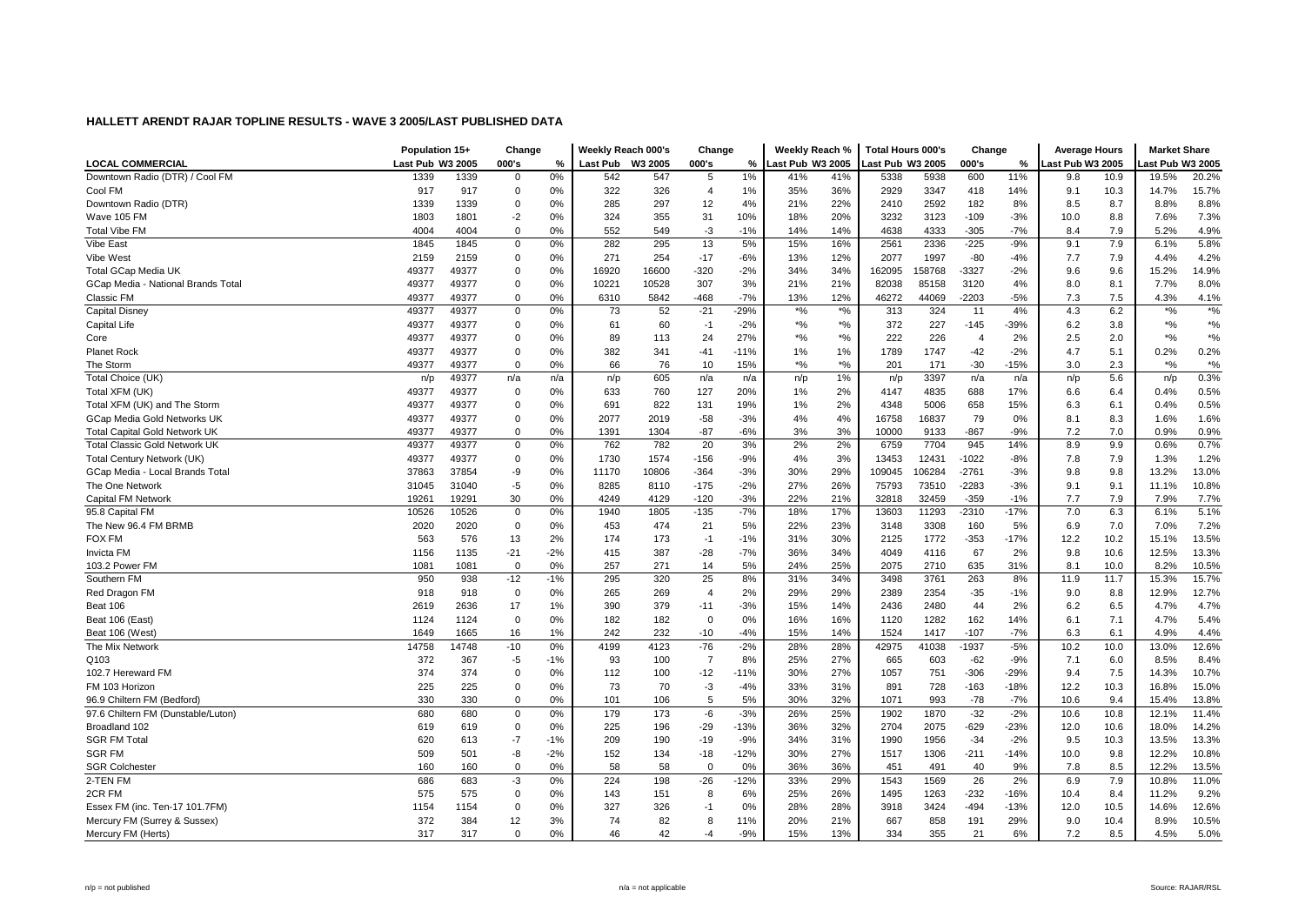|                                      | Population 15+   |       | Change       |       | Weekly Reach 000's |         | Change         |        | Weekly Reach %             |               | <b>Total Hours 000's</b> |        | Change         |        | <b>Average Hours</b> |      | <b>Market Share</b> |                    |
|--------------------------------------|------------------|-------|--------------|-------|--------------------|---------|----------------|--------|----------------------------|---------------|--------------------------|--------|----------------|--------|----------------------|------|---------------------|--------------------|
| <b>LOCAL COMMERCIAL</b>              | Last Pub W3 2005 |       | 000's        | %     | <b>Last Pub</b>    | W3 2005 | 000's          | %      | Last Pub W3 2005           |               | Last Pub W3 2005         |        | 000's          | %      | ast Pub W3 2005      |      | ast Pub W3 2005     |                    |
| Downtown Radio (DTR) / Cool FM       | 1339             | 1339  | 0            | 0%    | 542                | 547     | 5              | 1%     | 41%                        | 41%           | 5338                     | 5938   | 600            | 11%    | 9.8                  | 10.9 | 19.5%               | 20.2%              |
| Cool FM                              | 917              | 917   | $\mathbf 0$  | 0%    | 322                | 326     | $\overline{4}$ | 1%     | 35%                        | 36%           | 2929                     | 3347   | 418            | 14%    | 9.1                  | 10.3 | 14.7%               | 15.7%              |
| Downtown Radio (DTR)                 | 1339             | 1339  | 0            | 0%    | 285                | 297     | 12             | 4%     | 21%                        | 22%           | 2410                     | 2592   | 182            | 8%     | 8.5                  | 8.7  | 8.8%                | 8.8%               |
| Wave 105 FM                          | 1803             | 1801  | $-2$         | 0%    | 324                | 355     | 31             | 10%    | 18%                        | 20%           | 3232                     | 3123   | $-109$         | $-3%$  | 10.0                 | 8.8  | 7.6%                | 7.3%               |
| <b>Total Vibe FM</b>                 | 4004             | 4004  | 0            | 0%    | 552                | 549     | -3             | $-1%$  | 14%                        | 14%           | 4638                     | 4333   | $-305$         | $-7%$  | 8.4                  | 7.9  | 5.2%                | 4.9%               |
| Vibe East                            | 1845             | 1845  | 0            | 0%    | 282                | 295     | 13             | 5%     | 15%                        | 16%           | 2561                     | 2336   | $-225$         | $-9%$  | 9.1                  | 7.9  | 6.1%                | 5.8%               |
| Vibe West                            | 2159             | 2159  | 0            | 0%    | 271                | 254     | $-17$          | $-6%$  | 13%                        | 12%           | 2077                     | 1997   | $-80$          | $-4%$  | 7.7                  | 7.9  | 4.4%                | 4.2%               |
| <b>Total GCap Media UK</b>           | 49377            | 49377 | 0            | 0%    | 16920              | 16600   | $-320$         | $-2%$  | 34%                        | 34%           | 162095                   | 158768 | $-3327$        | $-2%$  | 9.6                  | 9.6  | 15.2%               | 14.9%              |
| GCap Media - National Brands Total   | 49377            | 49377 | $\mathbf 0$  | 0%    | 10221              | 10528   | 307            | 3%     | 21%                        | 21%           | 82038                    | 85158  | 3120           | 4%     | 8.0                  | 8.1  | 7.7%                | 8.0%               |
| Classic FM                           | 49377            | 49377 | $\mathbf 0$  | 0%    | 6310               | 5842    | $-468$         | $-7%$  | 13%                        | 12%           | 46272                    | 44069  | $-2203$        | $-5%$  | 7.3                  | 7.5  | 4.3%                | 4.1%               |
| <b>Capital Disney</b>                | 49377            | 49377 | 0            | 0%    | 73                 | 52      | $-21$          | $-29%$ | $*9/6$                     | $\frac{1}{2}$ | 313                      | 324    | 11             | 4%     | 4.3                  | 6.2  | $\boldsymbol{*}$ %  | $\sqrt[*]{\cdot}$  |
| <b>Capital Life</b>                  | 49377            | 49377 | 0            | 0%    | 61                 | 60      | $-1$           | $-2%$  | $\boldsymbol{^{*0}}\!/\!o$ | $*$ %         | 372                      | 227    | $-145$         | -39%   | 6.2                  | 3.8  | $*9/6$              | $\boldsymbol{*}$ % |
| Core                                 | 49377            | 49377 | 0            | 0%    | 89                 | 113     | 24             | 27%    | $*9/6$                     | $*$ %         | 222                      | 226    | $\overline{4}$ | 2%     | 2.5                  | 2.0  | $*$ %               | $*9/6$             |
| <b>Planet Rock</b>                   | 49377            | 49377 | 0            | 0%    | 382                | 341     | $-41$          | $-11%$ | 1%                         | 1%            | 1789                     | 1747   | $-42$          | $-2%$  | 4.7                  | 5.1  | 0.2%                | 0.2%               |
| The Storm                            | 49377            | 49377 | $\Omega$     | 0%    | 66                 | 76      | 10             | 15%    | $*9/6$                     | $*9/0$        | 201                      | 171    | $-30$          | $-15%$ | 3.0                  | 2.3  | $*$ %               | $\boldsymbol{*}$ % |
| Total Choice (UK)                    | n/p              | 49377 | n/a          | n/a   | n/p                | 605     | n/a            | n/a    | n/p                        | 1%            | n/p                      | 3397   | n/a            | n/a    | n/p                  | 5.6  | n/p                 | 0.3%               |
| Total XFM (UK)                       | 49377            | 49377 | 0            | 0%    | 633                | 760     | 127            | 20%    | 1%                         | 2%            | 4147                     | 4835   | 688            | 17%    | 6.6                  | 6.4  | 0.4%                | 0.5%               |
| Total XFM (UK) and The Storm         | 49377            | 49377 | 0            | 0%    | 691                | 822     | 131            | 19%    | $1\%$                      | 2%            | 4348                     | 5006   | 658            | 15%    | 6.3                  | 6.1  | 0.4%                | 0.5%               |
| <b>GCap Media Gold Networks UK</b>   | 49377            | 49377 | 0            | 0%    | 2077               | 2019    | $-58$          | $-3%$  | 4%                         | 4%            | 16758                    | 16837  | 79             | 0%     | 8.1                  | 8.3  | 1.6%                | 1.6%               |
| <b>Total Capital Gold Network UK</b> | 49377            | 49377 | $\mathbf 0$  | 0%    | 1391               | 1304    | $-87$          | $-6%$  | 3%                         | 3%            | 10000                    | 9133   | $-867$         | $-9%$  | 7.2                  | 7.0  | 0.9%                | 0.9%               |
| <b>Total Classic Gold Network UK</b> | 49377            | 49377 | $\mathsf 0$  | 0%    | 762                | 782     | 20             | 3%     | 2%                         | 2%            | 6759                     | 7704   | 945            | 14%    | 8.9                  | 9.9  | 0.6%                | 0.7%               |
| Total Century Network (UK)           | 49377            | 49377 | 0            | 0%    | 1730               | 1574    | $-156$         | $-9%$  | 4%                         | 3%            | 13453                    | 12431  | $-1022$        | $-8%$  | 7.8                  | 7.9  | 1.3%                | 1.2%               |
| GCap Media - Local Brands Total      | 37863            | 37854 | -9           | 0%    | 11170              | 10806   | $-364$         | $-3%$  | 30%                        | 29%           | 109045                   | 106284 | $-2761$        | -3%    | 9.8                  | 9.8  | 13.2%               | 13.0%              |
| The One Network                      | 31045            | 31040 | $-5$         | 0%    | 8285               | 8110    | $-175$         | $-2%$  | 27%                        | 26%           | 75793                    | 73510  | $-2283$        | $-3%$  | 9.1                  | 9.1  | 11.1%               | 10.8%              |
| <b>Capital FM Network</b>            | 19261            | 19291 | 30           | 0%    | 4249               | 4129    | $-120$         | $-3%$  | 22%                        | 21%           | 32818                    | 32459  | $-359$         | $-1%$  | 7.7                  | 7.9  | 7.9%                | 7.7%               |
| 95.8 Capital FM                      | 10526            | 10526 | 0            | 0%    | 1940               | 1805    | $-135$         | $-7%$  | 18%                        | 17%           | 13603                    | 11293  | $-2310$        | $-17%$ | 7.0                  | 6.3  | 6.1%                | 5.1%               |
| The New 96.4 FM BRMB                 | 2020             | 2020  | $\mathbf 0$  | 0%    | 453                | 474     | 21             | 5%     | 22%                        | 23%           | 3148                     | 3308   | 160            | 5%     | 6.9                  | 7.0  | 7.0%                | 7.2%               |
| <b>FOX FM</b>                        | 563              | 576   | 13           | 2%    | 174                | 173     | $-1$           | $-1%$  | 31%                        | 30%           | 2125                     | 1772   | $-353$         | $-17%$ | 12.2                 | 10.2 | 15.1%               | 13.5%              |
| <b>Invicta FM</b>                    | 1156             | 1135  | $-21$        | $-2%$ | 415                | 387     | $-28$          | $-7%$  | 36%                        | 34%           | 4049                     | 4116   | 67             | 2%     | 9.8                  | 10.6 | 12.5%               | 13.3%              |
| 103.2 Power FM                       | 1081             | 1081  | $\mathbf{0}$ | 0%    | 257                | 271     | 14             | 5%     | 24%                        | 25%           | 2075                     | 2710   | 635            | 31%    | 8.1                  | 10.0 | 8.2%                | 10.5%              |
| Southern FM                          | 950              | 938   | $-12$        | $-1%$ | 295                | 320     | 25             | 8%     | 31%                        | 34%           | 3498                     | 3761   | 263            | 8%     | 11.9                 | 11.7 | 15.3%               | 15.7%              |
| Red Dragon FM                        | 918              | 918   | $\mathbf 0$  | 0%    | 265                | 269     | $\overline{4}$ | 2%     | 29%                        | 29%           | 2389                     | 2354   | $-35$          | $-1%$  | 9.0                  | 8.8  | 12.9%               | 12.7%              |
| Beat 106                             | 2619             | 2636  | 17           | 1%    | 390                | 379     | $-11$          | $-3%$  | 15%                        | 14%           | 2436                     | 2480   | 44             | 2%     | 6.2                  | 6.5  | 4.7%                | 4.7%               |
| Beat 106 (East)                      | 1124             | 1124  | 0            | 0%    | 182                | 182     | $\mathbf 0$    | 0%     | 16%                        | 16%           | 1120                     | 1282   | 162            | 14%    | 6.1                  | 7.1  | 4.7%                | 5.4%               |
| Beat 106 (West)                      | 1649             | 1665  | 16           | 1%    | 242                | 232     | $-10$          | $-4%$  | 15%                        | 14%           | 1524                     | 1417   | $-107$         | $-7%$  | 6.3                  | 6.1  | 4.9%                | 4.4%               |
| The Mix Network                      | 14758            | 14748 | $-10$        | 0%    | 4199               | 4123    | $-76$          | $-2%$  | 28%                        | 28%           | 42975                    | 41038  | $-1937$        | $-5%$  | 10.2                 | 10.0 | 13.0%               | 12.6%              |
| Q103                                 | 372              | 367   | $-5$         | $-1%$ | 93                 | 100     | $\overline{7}$ | 8%     | 25%                        | 27%           | 665                      | 603    | $-62$          | $-9%$  | 7.1                  | 6.0  | 8.5%                | 8.4%               |
| 102.7 Hereward FM                    | 374              | 374   | 0            | 0%    | 112                | 100     | $-12$          | $-11%$ | 30%                        | 27%           | 1057                     | 751    | $-306$         | $-29%$ | 9.4                  | 7.5  | 14.3%               | 10.7%              |
| FM 103 Horizon                       | 225              | 225   | $\mathbf 0$  | 0%    | 73                 | 70      | $-3$           | $-4%$  | 33%                        | 31%           | 891                      | 728    | $-163$         | $-18%$ | 12.2                 | 10.3 | 16.8%               | 15.0%              |
| 96.9 Chiltern FM (Bedford)           | 330              | 330   | 0            | 0%    | 101                | 106     | 5              | 5%     | 30%                        | 32%           | 1071                     | 993    | $-78$          | $-7%$  | 10.6                 | 9.4  | 15.4%               | 13.8%              |
| 97.6 Chiltern FM (Dunstable/Luton)   | 680              | 680   | 0            | 0%    | 179                | 173     | -6             | $-3%$  | 26%                        | 25%           | 1902                     | 1870   | $-32$          | $-2%$  | 10.6                 | 10.8 | 12.1%               | 11.4%              |
| Broadland 102                        | 619              | 619   | 0            | 0%    | 225                | 196     | $-29$          | $-13%$ | 36%                        | 32%           | 2704                     | 2075   | $-629$         | $-23%$ | 12.0                 | 10.6 | 18.0%               | 14.2%              |
| <b>SGR FM Total</b>                  | 620              | 613   | $-7$         | $-1%$ | 209                | 190     | $-19$          | $-9%$  | 34%                        | 31%           | 1990                     | 1956   | $-34$          | $-2%$  | 9.5                  | 10.3 | 13.5%               | 13.3%              |
| <b>SGR FM</b>                        | 509              | 501   | -8           | $-2%$ | 152                | 134     | $-18$          | $-12%$ | 30%                        | 27%           | 1517                     | 1306   | $-211$         | $-14%$ | 10.0                 | 9.8  | 12.2%               | 10.8%              |
| <b>SGR Colchester</b>                | 160              | 160   | $\mathbf 0$  | 0%    | 58                 | 58      | $\overline{0}$ | 0%     | 36%                        | 36%           | 451                      | 491    | 40             | 9%     | 7.8                  | 8.5  | 12.2%               | 13.5%              |
| 2-TEN FM                             | 686              | 683   | $-3$         | 0%    | 224                | 198     | $-26$          | $-12%$ | 33%                        | 29%           | 1543                     | 1569   | 26             | 2%     | 6.9                  | 7.9  | 10.8%               | 11.0%              |
| 2CR FM                               | 575              | 575   | 0            | 0%    | 143                | 151     | 8              | 6%     | 25%                        | 26%           | 1495                     | 1263   | $-232$         | $-16%$ | 10.4                 | 8.4  | 11.2%               | 9.2%               |
| Essex FM (inc. Ten-17 101.7FM)       | 1154             | 1154  | 0            | 0%    | 327                | 326     | -1             | 0%     | 28%                        | 28%           | 3918                     | 3424   | $-494$         | $-13%$ | 12.0                 | 10.5 | 14.6%               | 12.6%              |
| Mercury FM (Surrey & Sussex)         | 372              | 384   | 12           | 3%    | 74                 | 82      | 8              | 11%    | 20%                        | 21%           | 667                      | 858    | 191            | 29%    | 9.0                  | 10.4 | 8.9%                | 10.5%              |
| Mercury FM (Herts)                   | 317              | 317   | $\Omega$     | 0%    | 46                 | 42      | $-4$           | $-9%$  | 15%                        | 13%           | 334                      | 355    | 21             | 6%     | 7.2                  | 8.5  | 4.5%                | 5.0%               |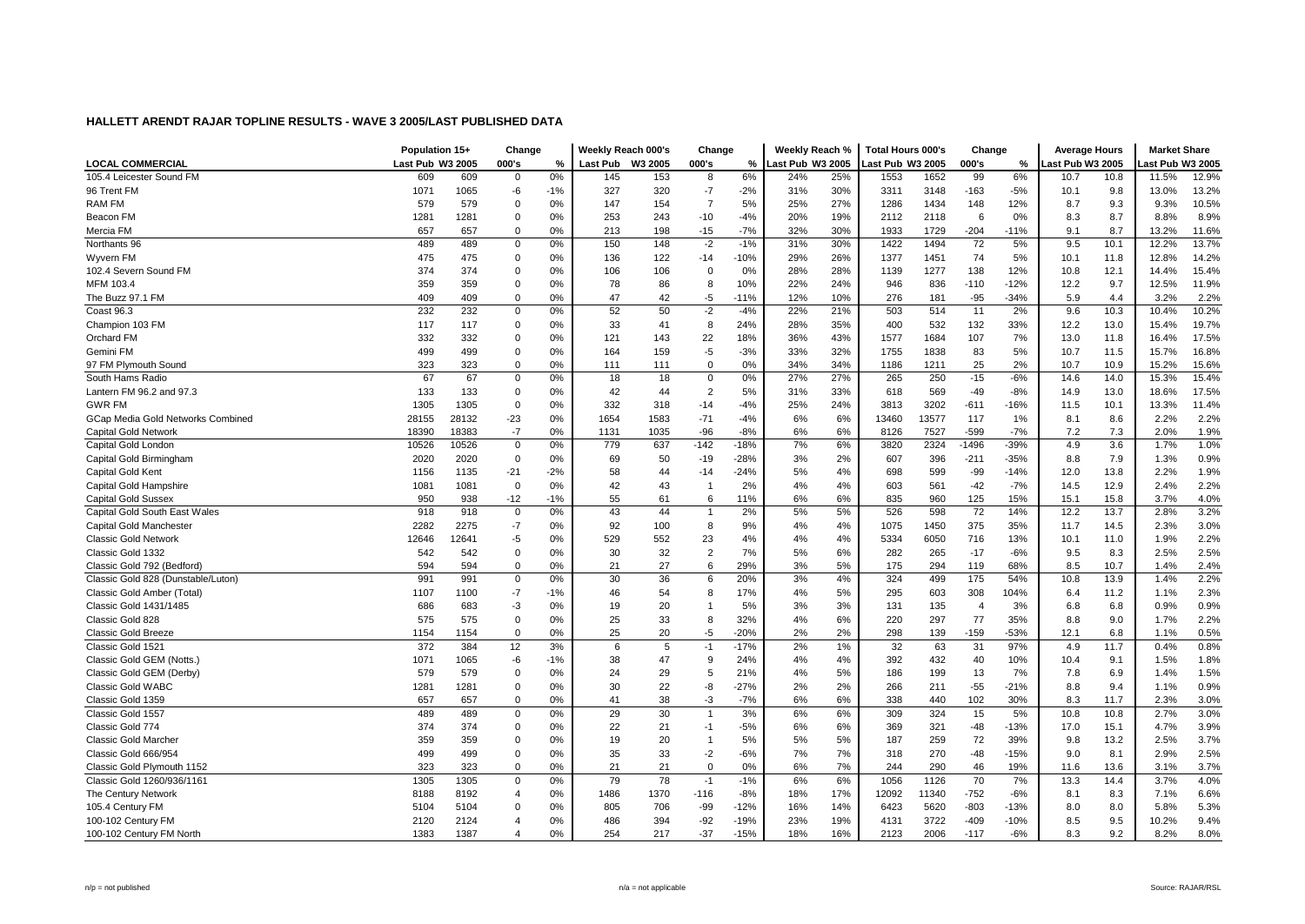|                                    | Population 15+   |       | Change         |       | Weekly Reach 000's |         | Change         |               | Weekly Reach %   |     | <b>Total Hours 000's</b> |       | Change         |        | <b>Average Hours</b> |      | <b>Market Share</b> |       |
|------------------------------------|------------------|-------|----------------|-------|--------------------|---------|----------------|---------------|------------------|-----|--------------------------|-------|----------------|--------|----------------------|------|---------------------|-------|
| <b>LOCAL COMMERCIAL</b>            | Last Pub W3 2005 |       | 000's          | %     | <b>Last Pub</b>    | W3 2005 | 000's          | $\frac{0}{2}$ | Last Pub W3 2005 |     | Last Pub W3 2005         |       | 000's          | %      | ast Pub W3 2005      |      | ast Pub W3 2005     |       |
| 105.4 Leicester Sound FM           | 609              | 609   | $\mathbf 0$    | 0%    | 145                | 153     | 8              | 6%            | 24%              | 25% | 1553                     | 1652  | 99             | 6%     | 10.7                 | 10.8 | 11.5%               | 12.9% |
| 96 Trent FM                        | 1071             | 1065  | -6             | $-1%$ | 327                | 320     | $-7$           | $-2%$         | 31%              | 30% | 3311                     | 3148  | $-163$         | $-5%$  | 10.1                 | 9.8  | 13.0%               | 13.2% |
| RAM FM                             | 579              | 579   | $\mathbf 0$    | 0%    | 147                | 154     | $\overline{7}$ | 5%            | 25%              | 27% | 1286                     | 1434  | 148            | 12%    | 8.7                  | 9.3  | 9.3%                | 10.5% |
| Beacon FM                          | 1281             | 1281  | $\mathbf 0$    | 0%    | 253                | 243     | $-10$          | $-4%$         | 20%              | 19% | 2112                     | 2118  | 6              | 0%     | 8.3                  | 8.7  | 8.8%                | 8.9%  |
| Mercia FM                          | 657              | 657   | $\Omega$       | 0%    | 213                | 198     | $-15$          | $-7%$         | 32%              | 30% | 1933                     | 1729  | $-204$         | $-11%$ | 9.1                  | 8.7  | 13.2%               | 11.6% |
| Northants 96                       | 489              | 489   | 0              | 0%    | 150                | 148     | $-2$           | $-1%$         | 31%              | 30% | 1422                     | 1494  | 72             | 5%     | 9.5                  | 10.1 | 12.2%               | 13.7% |
| Wyvern FM                          | 475              | 475   | $\mathbf 0$    | 0%    | 136                | 122     | $-14$          | $-10%$        | 29%              | 26% | 1377                     | 1451  | 74             | 5%     | 10.1                 | 11.8 | 12.8%               | 14.2% |
| 102.4 Severn Sound FM              | 374              | 374   | $\Omega$       | 0%    | 106                | 106     | $\Omega$       | 0%            | 28%              | 28% | 1139                     | 1277  | 138            | 12%    | 10.8                 | 12.1 | 14.4%               | 15.4% |
| MFM 103.4                          | 359              | 359   | $\mathbf 0$    | 0%    | 78                 | 86      | 8              | 10%           | 22%              | 24% | 946                      | 836   | $-110$         | $-12%$ | 12.2                 | 9.7  | 12.5%               | 11.9% |
| The Buzz 97.1 FM                   | 409              | 409   | $\Omega$       | 0%    | 47                 | 42      | -5             | $-11%$        | 12%              | 10% | 276                      | 181   | $-95$          | $-34%$ | 5.9                  | 4.4  | 3.2%                | 2.2%  |
| Coast 96.3                         | 232              | 232   | $\mathbf 0$    | 0%    | 52                 | 50      | $-2$           | $-4%$         | 22%              | 21% | 503                      | 514   | 11             | 2%     | 9.6                  | 10.3 | 10.4%               | 10.2% |
| Champion 103 FM                    | 117              | 117   | $\mathbf 0$    | 0%    | 33                 | 41      | 8              | 24%           | 28%              | 35% | 400                      | 532   | 132            | 33%    | 12.2                 | 13.0 | 15.4%               | 19.7% |
| Orchard FM                         | 332              | 332   | $\mathbf 0$    | 0%    | 121                | 143     | 22             | 18%           | 36%              | 43% | 1577                     | 1684  | 107            | 7%     | 13.0                 | 11.8 | 16.4%               | 17.5% |
| Gemini FM                          | 499              | 499   | $\mathbf 0$    | 0%    | 164                | 159     | -5             | $-3%$         | 33%              | 32% | 1755                     | 1838  | 83             | 5%     | 10.7                 | 11.5 | 15.7%               | 16.8% |
| 97 FM Plymouth Sound               | 323              | 323   | $\Omega$       | 0%    | 111                | 111     | $\mathbf 0$    | 0%            | 34%              | 34% | 1186                     | 1211  | 25             | 2%     | 10.7                 | 10.9 | 15.2%               | 15.6% |
| South Hams Radio                   | 67               | 67    | $\mathbf 0$    | 0%    | 18                 | 18      | $\mathbf 0$    | 0%            | 27%              | 27% | 265                      | 250   | $-15$          | $-6%$  | 14.6                 | 14.0 | 15.3%               | 15.4% |
| Lantern FM 96.2 and 97.3           | 133              | 133   | 0              | 0%    | 42                 | 44      | $\overline{2}$ | 5%            | 31%              | 33% | 618                      | 569   | $-49$          | $-8%$  | 14.9                 | 13.0 | 18.6%               | 17.5% |
| <b>GWR FM</b>                      | 1305             | 1305  | 0              | 0%    | 332                | 318     | $-14$          | $-4%$         | 25%              | 24% | 3813                     | 3202  | $-611$         | $-16%$ | 11.5                 | 10.1 | 13.3%               | 11.4% |
| GCap Media Gold Networks Combined  | 28155            | 28132 | $-23$          | 0%    | 1654               | 1583    | $-71$          | $-4%$         | 6%               | 6%  | 13460                    | 13577 | 117            | 1%     | 8.1                  | 8.6  | 2.2%                | 2.2%  |
| Capital Gold Network               | 18390            | 18383 | $-7$           | 0%    | 1131               | 1035    | $-96$          | $-8%$         | 6%               | 6%  | 8126                     | 7527  | $-599$         | $-7%$  | 7.2                  | 7.3  | 2.0%                | 1.9%  |
| Capital Gold London                | 10526            | 10526 | $\mathbf 0$    | 0%    | 779                | 637     | $-142$         | $-18%$        | 7%               | 6%  | 3820                     | 2324  | $-1496$        | -39%   | 4.9                  | 3.6  | 1.7%                | 1.0%  |
| Capital Gold Birmingham            | 2020             | 2020  | $\mathbf 0$    | 0%    | 69                 | 50      | $-19$          | $-28%$        | 3%               | 2%  | 607                      | 396   | $-211$         | $-35%$ | 8.8                  | 7.9  | 1.3%                | 0.9%  |
| Capital Gold Kent                  | 1156             | 1135  | $-21$          | $-2%$ | 58                 | 44      | $-14$          | $-24%$        | 5%               | 4%  | 698                      | 599   | -99            | $-14%$ | 12.0                 | 13.8 | 2.2%                | 1.9%  |
| <b>Capital Gold Hampshire</b>      | 1081             | 1081  | $\mathbf 0$    | 0%    | 42                 | 43      | $\overline{1}$ | 2%            | 4%               | 4%  | 603                      | 561   | $-42$          | $-7%$  | 14.5                 | 12.9 | 2.4%                | 2.2%  |
| <b>Capital Gold Sussex</b>         | 950              | 938   | $-12$          | $-1%$ | 55                 | 61      | 6              | 11%           | 6%               | 6%  | 835                      | 960   | 125            | 15%    | 15.1                 | 15.8 | 3.7%                | 4.0%  |
| Capital Gold South East Wales      | 918              | 918   | 0              | 0%    | 43                 | 44      | $\overline{1}$ | 2%            | 5%               | 5%  | 526                      | 598   | 72             | 14%    | 12.2                 | 13.7 | 2.8%                | 3.2%  |
| Capital Gold Manchester            | 2282             | 2275  | $-7$           | 0%    | 92                 | 100     | 8              | 9%            | 4%               | 4%  | 1075                     | 1450  | 375            | 35%    | 11.7                 | 14.5 | 2.3%                | 3.0%  |
| <b>Classic Gold Network</b>        | 12646            | 12641 | -5             | 0%    | 529                | 552     | 23             | 4%            | 4%               | 4%  | 5334                     | 6050  | 716            | 13%    | 10.1                 | 11.0 | 1.9%                | 2.2%  |
| Classic Gold 1332                  | 542              | 542   | $\mathbf 0$    | 0%    | 30                 | 32      | $\overline{2}$ | 7%            | 5%               | 6%  | 282                      | 265   | $-17$          | $-6%$  | 9.5                  | 8.3  | 2.5%                | 2.5%  |
| Classic Gold 792 (Bedford)         | 594              | 594   | $\mathbf 0$    | 0%    | 21                 | 27      | 6              | 29%           | 3%               | 5%  | 175                      | 294   | 119            | 68%    | 8.5                  | 10.7 | 1.4%                | 2.4%  |
| Classic Gold 828 (Dunstable/Luton) | 991              | 991   | $\mathbf 0$    | 0%    | 30                 | 36      | 6              | 20%           | 3%               | 4%  | 324                      | 499   | 175            | 54%    | 10.8                 | 13.9 | 1.4%                | 2.2%  |
| Classic Gold Amber (Total)         | 1107             | 1100  | $-7$           | $-1%$ | 46                 | 54      | 8              | 17%           | 4%               | 5%  | 295                      | 603   | 308            | 104%   | 6.4                  | 11.2 | 1.1%                | 2.3%  |
| Classic Gold 1431/1485             | 686              | 683   | $-3$           | 0%    | 19                 | 20      | $\overline{1}$ | 5%            | 3%               | 3%  | 131                      | 135   | $\overline{4}$ | 3%     | 6.8                  | 6.8  | 0.9%                | 0.9%  |
| Classic Gold 828                   | 575              | 575   | 0              | 0%    | 25                 | 33      | 8              | 32%           | 4%               | 6%  | 220                      | 297   | 77             | 35%    | 8.8                  | 9.0  | 1.7%                | 2.2%  |
| Classic Gold Breeze                | 1154             | 1154  | $\mathbf 0$    | 0%    | 25                 | 20      | -5             | $-20%$        | 2%               | 2%  | 298                      | 139   | $-159$         | -53%   | 12.1                 | 6.8  | 1.1%                | 0.5%  |
| Classic Gold 1521                  | 372              | 384   | 12             | 3%    | 6                  | 5       | $-1$           | $-17%$        | 2%               | 1%  | 32                       | 63    | 31             | 97%    | 4.9                  | 11.7 | 0.4%                | 0.8%  |
| Classic Gold GEM (Notts.)          | 1071             | 1065  | -6             | $-1%$ | 38                 | 47      | 9              | 24%           | 4%               | 4%  | 392                      | 432   | 40             | 10%    | 10.4                 | 9.1  | 1.5%                | 1.8%  |
| Classic Gold GEM (Derby)           | 579              | 579   | $\mathbf 0$    | 0%    | 24                 | 29      | 5              | 21%           | 4%               | 5%  | 186                      | 199   | 13             | 7%     | 7.8                  | 6.9  | 1.4%                | 1.5%  |
| <b>Classic Gold WABC</b>           | 1281             | 1281  | 0              | 0%    | 30                 | 22      | -8             | $-27%$        | 2%               | 2%  | 266                      | 211   | $-55$          | $-21%$ | 8.8                  | 9.4  | 1.1%                | 0.9%  |
| Classic Gold 1359                  | 657              | 657   | $\Omega$       | 0%    | 41                 | 38      | $-3$           | $-7%$         | 6%               | 6%  | 338                      | 440   | 102            | 30%    | 8.3                  | 11.7 | 2.3%                | 3.0%  |
| Classic Gold 1557                  | 489              | 489   | $\mathbf 0$    | 0%    | 29                 | 30      | $\overline{1}$ | 3%            | 6%               | 6%  | 309                      | 324   | 15             | 5%     | 10.8                 | 10.8 | 2.7%                | 3.0%  |
| Classic Gold 774                   | 374              | 374   | $\mathbf 0$    | 0%    | 22                 | 21      | $-1$           | $-5%$         | 6%               | 6%  | 369                      | 321   | $-48$          | $-13%$ | 17.0                 | 15.1 | 4.7%                | 3.9%  |
| Classic Gold Marcher               | 359              | 359   | $\Omega$       | 0%    | 19                 | 20      | $\overline{1}$ | 5%            | 5%               | 5%  | 187                      | 259   | 72             | 39%    | 9.8                  | 13.2 | 2.5%                | 3.7%  |
| Classic Gold 666/954               | 499              | 499   | $\mathbf 0$    | 0%    | 35                 | 33      | $-2$           | $-6%$         | 7%               | 7%  | 318                      | 270   | $-48$          | $-15%$ | 9.0                  | 8.1  | 2.9%                | 2.5%  |
| Classic Gold Plymouth 1152         | 323              | 323   | $\mathbf 0$    | 0%    | 21                 | 21      | $\mathbf 0$    | 0%            | 6%               | 7%  | 244                      | 290   | 46             | 19%    | 11.6                 | 13.6 | 3.1%                | 3.7%  |
| Classic Gold 1260/936/1161         | 1305             | 1305  | 0              | 0%    | 79                 | 78      | $-1$           | $-1%$         | 6%               | 6%  | 1056                     | 1126  | 70             | 7%     | 13.3                 | 14.4 | 3.7%                | 4.0%  |
| The Century Network                | 8188             | 8192  | 4              | 0%    | 1486               | 1370    | $-116$         | $-8%$         | 18%              | 17% | 12092                    | 11340 | $-752$         | $-6%$  | 8.1                  | 8.3  | 7.1%                | 6.6%  |
| 105.4 Century FM                   | 5104             | 5104  | $\mathbf 0$    | 0%    | 805                | 706     | $-99$          | $-12%$        | 16%              | 14% | 6423                     | 5620  | $-803$         | $-13%$ | 8.0                  | 8.0  | 5.8%                | 5.3%  |
| 100-102 Century FM                 | 2120             | 2124  | $\overline{4}$ | 0%    | 486                | 394     | $-92$          | $-19%$        | 23%              | 19% | 4131                     | 3722  | $-409$         | $-10%$ | 8.5                  | 9.5  | 10.2%               | 9.4%  |
| 100-102 Century FM North           | 1383             | 1387  | $\overline{4}$ | 0%    | 254                | 217     | $-37$          | $-15%$        | 18%              | 16% | 2123                     | 2006  | $-117$         | $-6%$  | 8.3                  | 9.2  | 8.2%                | 8.0%  |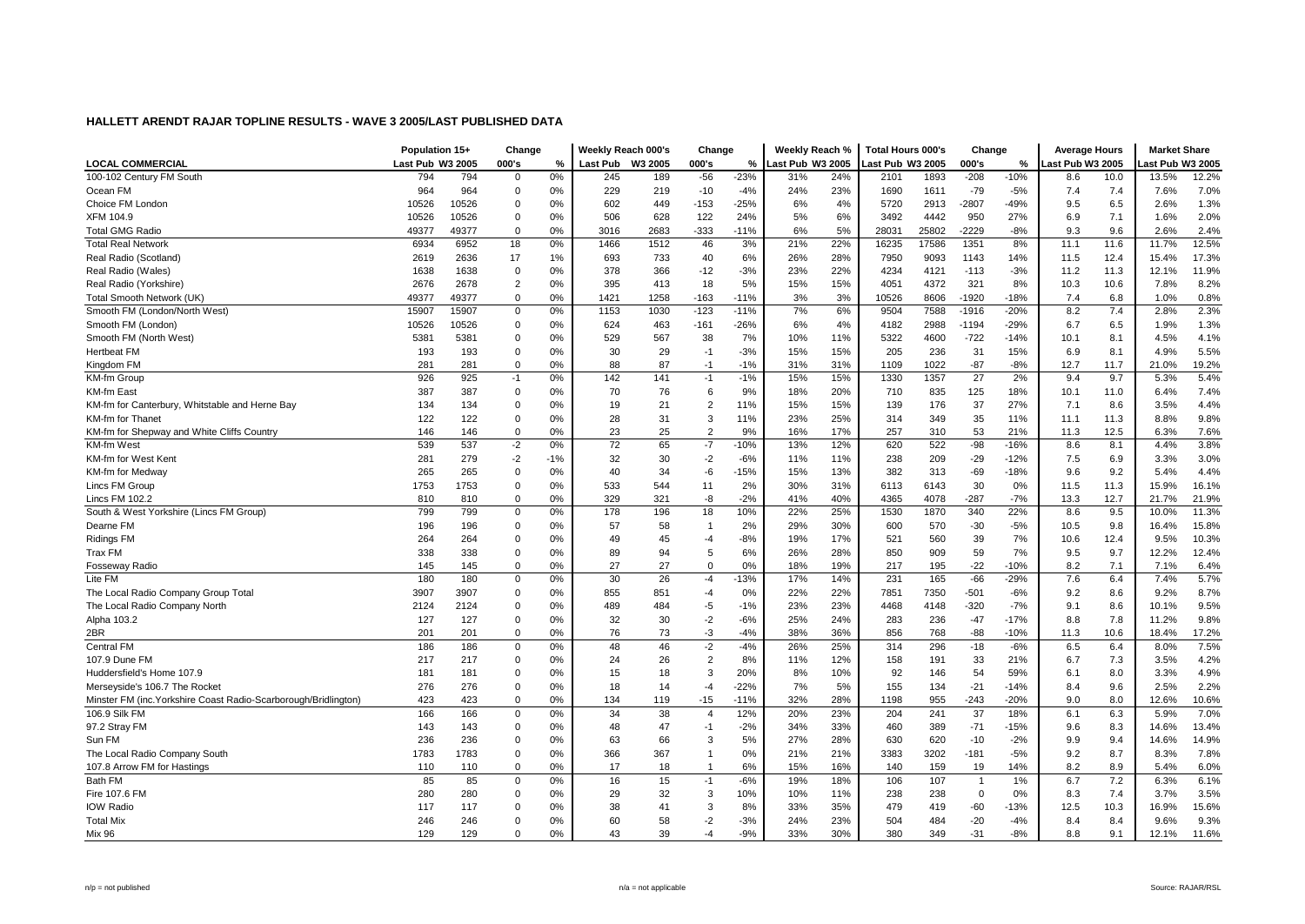|                                                                 | Population 15+   |       | Change      |       | Weekly Reach 000's |         | Change         |        | Weekly Reach %   |     | <b>Total Hours 000's</b> |       | Change         |        | <b>Average Hours</b> |      | <b>Market Share</b> |       |
|-----------------------------------------------------------------|------------------|-------|-------------|-------|--------------------|---------|----------------|--------|------------------|-----|--------------------------|-------|----------------|--------|----------------------|------|---------------------|-------|
| <b>LOCAL COMMERCIAL</b>                                         | Last Pub W3 2005 |       | 000's       | %     | <b>Last Pub</b>    | W3 2005 | 000's          | %      | Last Pub W3 2005 |     | Last Pub W3 2005         |       | 000's          | %      | Last Pub W3 2005     |      | ast Pub W3 2005     |       |
| 100-102 Century FM South                                        | 794              | 794   | $\mathbf 0$ | 0%    | 245                | 189     | $-56$          | $-23%$ | 31%              | 24% | 2101                     | 1893  | $-208$         | $-10%$ | 8.6                  | 10.0 | 13.5%               | 12.2% |
| Ocean FM                                                        | 964              | 964   | $\mathbf 0$ | 0%    | 229                | 219     | $-10$          | $-4%$  | 24%              | 23% | 1690                     | 1611  | $-79$          | $-5%$  | 7.4                  | 7.4  | 7.6%                | 7.0%  |
| Choice FM London                                                | 10526            | 10526 | 0           | 0%    | 602                | 449     | $-153$         | $-25%$ | 6%               | 4%  | 5720                     | 2913  | $-2807$        | $-49%$ | 9.5                  | 6.5  | 2.6%                | 1.3%  |
| <b>XFM 104.9</b>                                                | 10526            | 10526 | 0           | 0%    | 506                | 628     | 122            | 24%    | 5%               | 6%  | 3492                     | 4442  | 950            | 27%    | 6.9                  | 7.1  | 1.6%                | 2.0%  |
| <b>Total GMG Radio</b>                                          | 49377            | 49377 | $\mathbf 0$ | 0%    | 3016               | 2683    | $-333$         | $-11%$ | 6%               | 5%  | 28031                    | 25802 | $-2229$        | $-8%$  | 9.3                  | 9.6  | 2.6%                | 2.4%  |
| <b>Total Real Network</b>                                       | 6934             | 6952  | 18          | 0%    | 1466               | 1512    | 46             | 3%     | 21%              | 22% | 16235                    | 17586 | 1351           | 8%     | 11.1                 | 11.6 | 11.7%               | 12.5% |
| Real Radio (Scotland)                                           | 2619             | 2636  | 17          | 1%    | 693                | 733     | 40             | 6%     | 26%              | 28% | 7950                     | 9093  | 1143           | 14%    | 11.5                 | 12.4 | 15.4%               | 17.3% |
| Real Radio (Wales)                                              | 1638             | 1638  | $\mathbf 0$ | 0%    | 378                | 366     | $-12$          | $-3%$  | 23%              | 22% | 4234                     | 4121  | $-113$         | $-3%$  | 11.2                 | 11.3 | 12.1%               | 11.9% |
| Real Radio (Yorkshire)                                          | 2676             | 2678  | 2           | 0%    | 395                | 413     | 18             | 5%     | 15%              | 15% | 4051                     | 4372  | 321            | 8%     | 10.3                 | 10.6 | 7.8%                | 8.2%  |
| Total Smooth Network (UK)                                       | 49377            | 49377 | $\mathbf 0$ | 0%    | 1421               | 1258    | $-163$         | $-11%$ | 3%               | 3%  | 10526                    | 8606  | $-1920$        | $-18%$ | 7.4                  | 6.8  | 1.0%                | 0.8%  |
| Smooth FM (London/North West)                                   | 15907            | 15907 | $\mathbf 0$ | 0%    | 1153               | 1030    | $-123$         | $-11%$ | 7%               | 6%  | 9504                     | 7588  | $-1916$        | $-20%$ | 8.2                  | 7.4  | 2.8%                | 2.3%  |
| Smooth FM (London)                                              | 10526            | 10526 | 0           | 0%    | 624                | 463     | $-161$         | $-26%$ | 6%               | 4%  | 4182                     | 2988  | -1194          | $-29%$ | 6.7                  | 6.5  | 1.9%                | 1.3%  |
| Smooth FM (North West)                                          | 5381             | 5381  | 0           | 0%    | 529                | 567     | 38             | 7%     | 10%              | 11% | 5322                     | 4600  | $-722$         | $-14%$ | 10.1                 | 8.1  | 4.5%                | 4.1%  |
| <b>Hertbeat FM</b>                                              | 193              | 193   | 0           | 0%    | 30                 | 29      | $-1$           | $-3%$  | 15%              | 15% | 205                      | 236   | 31             | 15%    | 6.9                  | 8.1  | 4.9%                | 5.5%  |
| Kingdom FM                                                      | 281              | 281   | $\mathbf 0$ | 0%    | 88                 | 87      | $-1$           | $-1%$  | 31%              | 31% | 1109                     | 1022  | $-87$          | $-8%$  | 12.7                 | 11.7 | 21.0%               | 19.2% |
| KM-fm Group                                                     | 926              | 925   | $-1$        | 0%    | 142                | 141     | $-1$           | $-1%$  | 15%              | 15% | 1330                     | 1357  | 27             | 2%     | 9.4                  | 9.7  | 5.3%                | 5.4%  |
| KM-fm East                                                      | 387              | 387   | 0           | 0%    | 70                 | 76      | 6              | 9%     | 18%              | 20% | 710                      | 835   | 125            | 18%    | 10.1                 | 11.0 | 6.4%                | 7.4%  |
| KM-fm for Canterbury, Whitstable and Herne Bay                  | 134              | 134   | 0           | 0%    | 19                 | 21      | $\overline{2}$ | 11%    | 15%              | 15% | 139                      | 176   | 37             | 27%    | 7.1                  | 8.6  | 3.5%                | 4.4%  |
| <b>KM-fm for Thanet</b>                                         | 122              | 122   | $\mathbf 0$ | 0%    | 28                 | 31      | 3              | 11%    | 23%              | 25% | 314                      | 349   | 35             | 11%    | 11.1                 | 11.3 | 8.8%                | 9.8%  |
| KM-fm for Shepway and White Cliffs Country                      | 146              | 146   | 0           | 0%    | 23                 | 25      | $\overline{2}$ | 9%     | 16%              | 17% | 257                      | 310   | 53             | 21%    | 11.3                 | 12.5 | 6.3%                | 7.6%  |
| KM-fm West                                                      | 539              | 537   | $-2$        | 0%    | 72                 | 65      | $-7$           | $-10%$ | 13%              | 12% | 620                      | 522   | $-98$          | $-16%$ | 8.6                  | 8.1  | 4.4%                | 3.8%  |
| KM-fm for West Kent                                             | 281              | 279   | $-2$        | $-1%$ | 32                 | 30      | $-2$           | $-6%$  | 11%              | 11% | 238                      | 209   | $-29$          | $-12%$ | 7.5                  | 6.9  | 3.3%                | 3.0%  |
| KM-fm for Medway                                                | 265              | 265   | $\mathbf 0$ | 0%    | 40                 | 34      | $-6$           | $-15%$ | 15%              | 13% | 382                      | 313   | $-69$          | $-18%$ | 9.6                  | 9.2  | 5.4%                | 4.4%  |
| Lincs FM Group                                                  | 1753             | 1753  | $\mathbf 0$ | 0%    | 533                | 544     | 11             | 2%     | 30%              | 31% | 6113                     | 6143  | 30             | 0%     | 11.5                 | 11.3 | 15.9%               | 16.1% |
| Lincs FM 102.2                                                  | 810              | 810   | 0           | 0%    | 329                | 321     | -8             | $-2%$  | 41%              | 40% | 4365                     | 4078  | $-287$         | $-7%$  | 13.3                 | 12.7 | 21.7%               | 21.9% |
| South & West Yorkshire (Lincs FM Group)                         | 799              | 799   | 0           | 0%    | 178                | 196     | 18             | 10%    | 22%              | 25% | 1530                     | 1870  | 340            | 22%    | 8.6                  | 9.5  | 10.0%               | 11.3% |
| Dearne FM                                                       | 196              | 196   | 0           | 0%    | 57                 | 58      | $\overline{1}$ | 2%     | 29%              | 30% | 600                      | 570   | $-30$          | $-5%$  | 10.5                 | 9.8  | 16.4%               | 15.8% |
| <b>Ridings FM</b>                                               | 264              | 264   | 0           | 0%    | 49                 | 45      | $-4$           | $-8%$  | 19%              | 17% | 521                      | 560   | 39             | 7%     | 10.6                 | 12.4 | 9.5%                | 10.3% |
| Trax FM                                                         | 338              | 338   | 0           | 0%    | 89                 | 94      | 5              | 6%     | 26%              | 28% | 850                      | 909   | 59             | 7%     | 9.5                  | 9.7  | 12.2%               | 12.4% |
| Fosseway Radio                                                  | 145              | 145   | $\mathbf 0$ | 0%    | 27                 | 27      | $\mathbf 0$    | 0%     | 18%              | 19% | 217                      | 195   | $-22$          | $-10%$ | 8.2                  | 7.1  | 7.1%                | 6.4%  |
| Lite FM                                                         | 180              | 180   | $\mathsf 0$ | 0%    | 30                 | 26      | $-4$           | $-13%$ | 17%              | 14% | 231                      | 165   | $-66$          | $-29%$ | 7.6                  | 6.4  | 7.4%                | 5.7%  |
| The Local Radio Company Group Total                             | 3907             | 3907  | 0           | 0%    | 855                | 851     | $-4$           | 0%     | 22%              | 22% | 7851                     | 7350  | $-501$         | $-6%$  | 9.2                  | 8.6  | 9.2%                | 8.7%  |
| The Local Radio Company North                                   | 2124             | 2124  | $\mathbf 0$ | 0%    | 489                | 484     | $-5$           | $-1%$  | 23%              | 23% | 4468                     | 4148  | $-320$         | $-7%$  | 9.1                  | 8.6  | 10.1%               | 9.5%  |
| Alpha 103.2                                                     | 127              | 127   | 0           | 0%    | 32                 | 30      | $-2$           | $-6%$  | 25%              | 24% | 283                      | 236   | $-47$          | $-17%$ | 8.8                  | 7.8  | 11.2%               | 9.8%  |
| 2BR                                                             | 201              | 201   | 0           | 0%    | 76                 | 73      | -3             | $-4%$  | 38%              | 36% | 856                      | 768   | $-88$          | -10%   | 11.3                 | 10.6 | 18.4%               | 17.2% |
| <b>Central FM</b>                                               | 186              | 186   | $\mathbf 0$ | 0%    | 48                 | 46      | $-2$           | $-4%$  | 26%              | 25% | 314                      | 296   | $-18$          | $-6%$  | 6.5                  | 6.4  | 8.0%                | 7.5%  |
| 107.9 Dune FM                                                   | 217              | 217   | $\mathbf 0$ | 0%    | 24                 | 26      | $\overline{2}$ | 8%     | 11%              | 12% | 158                      | 191   | 33             | 21%    | 6.7                  | 7.3  | 3.5%                | 4.2%  |
| Huddersfield's Home 107.9                                       | 181              | 181   | 0           | 0%    | 15                 | 18      | 3              | 20%    | 8%               | 10% | 92                       | 146   | 54             | 59%    | 6.1                  | 8.0  | 3.3%                | 4.9%  |
| Merseyside's 106.7 The Rocket                                   | 276              | 276   | 0           | 0%    | 18                 | 14      | $-4$           | $-22%$ | 7%               | 5%  | 155                      | 134   | $-21$          | $-14%$ | 8.4                  | 9.6  | 2.5%                | 2.2%  |
| Minster FM (inc. Yorkshire Coast Radio-Scarborough/Bridlington) | 423              | 423   | $\mathbf 0$ | 0%    | 134                | 119     | $-15$          | $-11%$ | 32%              | 28% | 1198                     | 955   | $-243$         | $-20%$ | 9.0                  | 8.0  | 12.6%               | 10.6% |
| 106.9 Silk FM                                                   | 166              | 166   | $\mathbf 0$ | 0%    | 34                 | 38      | $\overline{4}$ | 12%    | 20%              | 23% | 204                      | 241   | 37             | 18%    | 6.1                  | 6.3  | 5.9%                | 7.0%  |
| 97.2 Stray FM                                                   | 143              | 143   | 0           | 0%    | 48                 | 47      | $-1$           | $-2%$  | 34%              | 33% | 460                      | 389   | $-71$          | $-15%$ | 9.6                  | 8.3  | 14.6%               | 13.4% |
| Sun FM                                                          | 236              | 236   | $\mathbf 0$ | 0%    | 63                 | 66      | 3              | 5%     | 27%              | 28% | 630                      | 620   | $-10$          | $-2%$  | 9.9                  | 9.4  | 14.6%               | 14.9% |
| The Local Radio Company South                                   | 1783             | 1783  | $\mathbf 0$ | 0%    | 366                | 367     | $\overline{1}$ | 0%     | 21%              | 21% | 3383                     | 3202  | $-181$         | $-5%$  | 9.2                  | 8.7  | 8.3%                | 7.8%  |
| 107.8 Arrow FM for Hastings                                     | 110              | 110   | 0           | 0%    | 17                 | 18      | $\overline{1}$ | 6%     | 15%              | 16% | 140                      | 159   | 19             | 14%    | 8.2                  | 8.9  | 5.4%                | 6.0%  |
| <b>Bath FM</b>                                                  | 85               | 85    | 0           | 0%    | 16                 | 15      | $-1$           | $-6%$  | 19%              | 18% | 106                      | 107   | $\overline{1}$ | 1%     | 6.7                  | 7.2  | 6.3%                | 6.1%  |
| Fire 107.6 FM                                                   | 280              | 280   | 0           | 0%    | 29                 | 32      | 3              | 10%    | 10%              | 11% | 238                      | 238   | $\mathbf 0$    | 0%     | 8.3                  | 7.4  | 3.7%                | 3.5%  |
| <b>IOW Radio</b>                                                | 117              | 117   | 0           | 0%    | 38                 | 41      | 3              | 8%     | 33%              | 35% | 479                      | 419   | $-60$          | $-13%$ | 12.5                 | 10.3 | 16.9%               | 15.6% |
| <b>Total Mix</b>                                                | 246              | 246   | 0           | 0%    | 60                 | 58      | $-2$           | $-3%$  | 24%              | 23% | 504                      | 484   | $-20$          | $-4%$  | 8.4                  | 8.4  | 9.6%                | 9.3%  |
|                                                                 | 129              | 129   | $\Omega$    | 0%    | 43                 | 39      | $-4$           | $-9%$  | 33%              | 30% | 380                      | 349   | $-31$          | $-8%$  | 8.8                  | 9.1  |                     | 11.6% |
| Mix 96                                                          |                  |       |             |       |                    |         |                |        |                  |     |                          |       |                |        |                      |      | 12.1%               |       |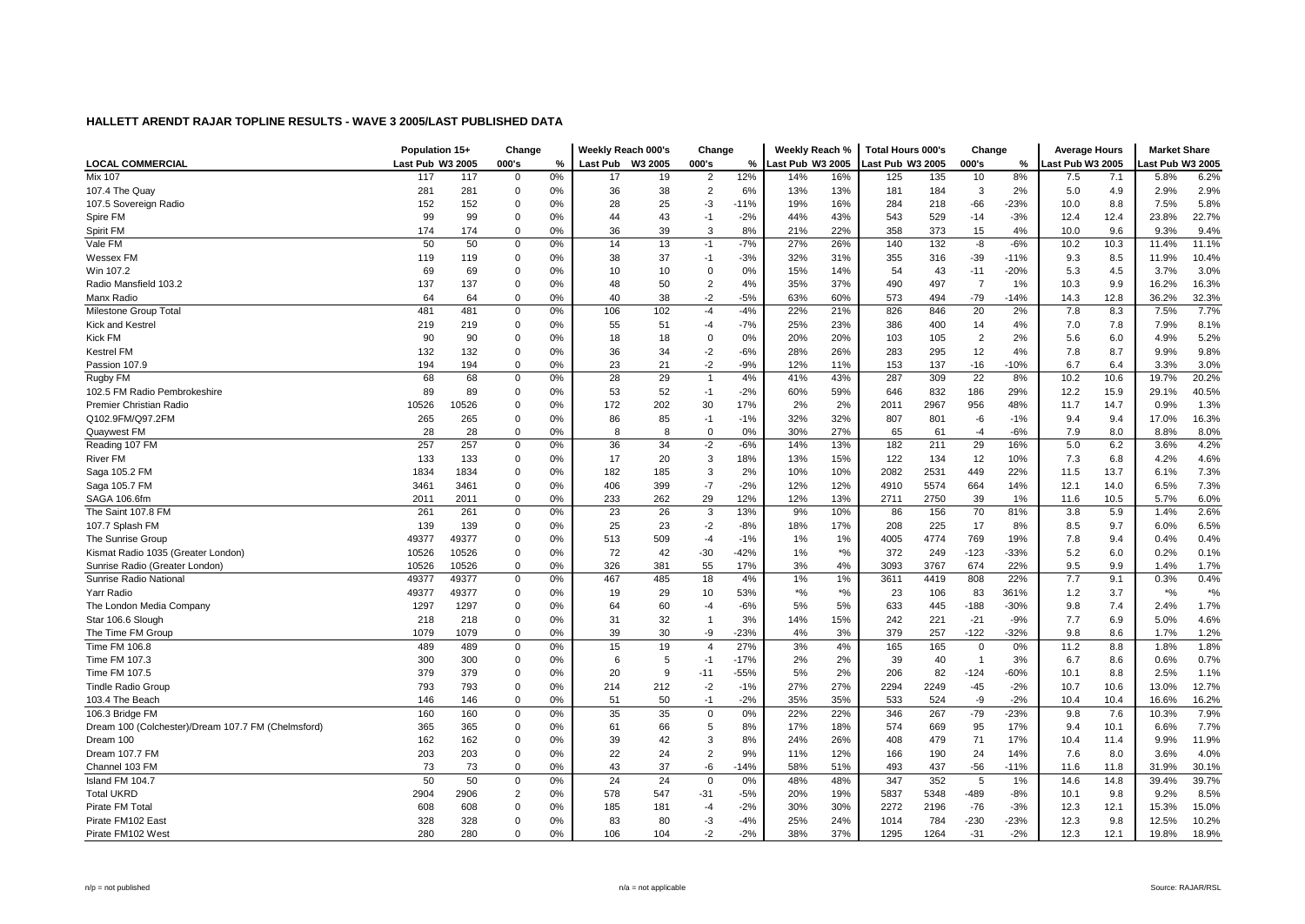|                                                    | Population 15+   |       | Change      |    | Weekly Reach 000's |         | Change         |               | Weekly Reach %   |        | <b>Total Hours 000's</b> |      | Change         |        | <b>Average Hours</b> |      | <b>Market Share</b> |                             |
|----------------------------------------------------|------------------|-------|-------------|----|--------------------|---------|----------------|---------------|------------------|--------|--------------------------|------|----------------|--------|----------------------|------|---------------------|-----------------------------|
| <b>LOCAL COMMERCIAL</b>                            | Last Pub W3 2005 |       | 000's       | %  | <b>Last Pub</b>    | W3 2005 | 000's          | $\frac{9}{6}$ | Last Pub W3 2005 |        | Last Pub W3 2005         |      | 000's          | %      | Last Pub W3 2005     |      | ast Pub W3 2005     |                             |
| <b>Mix 107</b>                                     | 117              | 117   | $\mathbf 0$ | 0% | 17                 | 19      | $\overline{2}$ | 12%           | 14%              | 16%    | 125                      | 135  | 10             | 8%     | 7.5                  | 7.1  | 5.8%                | 6.2%                        |
| 107.4 The Quay                                     | 281              | 281   | $\mathbf 0$ | 0% | 36                 | 38      | $\overline{2}$ | 6%            | 13%              | 13%    | 181                      | 184  | 3              | 2%     | 5.0                  | 4.9  | 2.9%                | 2.9%                        |
| 107.5 Sovereign Radio                              | 152              | 152   | 0           | 0% | 28                 | 25      | -3             | $-11%$        | 19%              | 16%    | 284                      | 218  | $-66$          | $-23%$ | 10.0                 | 8.8  | 7.5%                | 5.8%                        |
| Spire FM                                           | 99               | 99    | 0           | 0% | 44                 | 43      | $-1$           | $-2%$         | 44%              | 43%    | 543                      | 529  | $-14$          | $-3%$  | 12.4                 | 12.4 | 23.8%               | 22.7%                       |
| Spirit FM                                          | 174              | 174   | $\mathbf 0$ | 0% | 36                 | 39      | 3              | 8%            | 21%              | 22%    | 358                      | 373  | 15             | 4%     | 10.0                 | 9.6  | 9.3%                | 9.4%                        |
| Vale FM                                            | 50               | 50    | 0           | 0% | 14                 | 13      | $-1$           | $-7%$         | 27%              | 26%    | 140                      | 132  | -8             | $-6%$  | 10.2                 | 10.3 | 11.4%               | 11.1%                       |
| Wessex FM                                          | 119              | 119   | 0           | 0% | 38                 | 37      | -1             | $-3%$         | 32%              | 31%    | 355                      | 316  | $-39$          | $-11%$ | 9.3                  | 8.5  | 11.9%               | 10.4%                       |
| Win 107.2                                          | 69               | 69    | $\mathbf 0$ | 0% | 10                 | 10      | $\Omega$       | 0%            | 15%              | 14%    | 54                       | 43   | $-11$          | $-20%$ | 5.3                  | 4.5  | 3.7%                | 3.0%                        |
| Radio Mansfield 103.2                              | 137              | 137   | $\mathbf 0$ | 0% | 48                 | 50      | $\overline{2}$ | 4%            | 35%              | 37%    | 490                      | 497  | $\overline{7}$ | 1%     | 10.3                 | 9.9  | 16.2%               | 16.3%                       |
| Manx Radio                                         | 64               | 64    | $\mathbf 0$ | 0% | 40                 | 38      | $-2$           | $-5%$         | 63%              | 60%    | 573                      | 494  | $-79$          | $-14%$ | 14.3                 | 12.8 | 36.2%               | 32.3%                       |
| Milestone Group Total                              | 481              | 481   | $\mathbf 0$ | 0% | 106                | 102     | $-4$           | $-4%$         | 22%              | 21%    | 826                      | 846  | 20             | 2%     | 7.8                  | 8.3  | 7.5%                | 7.7%                        |
| <b>Kick and Kestrel</b>                            | 219              | 219   | 0           | 0% | 55                 | 51      | -4             | $-7%$         | 25%              | 23%    | 386                      | 400  | 14             | 4%     | 7.0                  | 7.8  | 7.9%                | 8.1%                        |
| <b>Kick FM</b>                                     | 90               | 90    | 0           | 0% | 18                 | 18      | $\mathbf 0$    | 0%            | 20%              | 20%    | 103                      | 105  | $\overline{2}$ | 2%     | 5.6                  | 6.0  | 4.9%                | 5.2%                        |
| <b>Kestrel FM</b>                                  | 132              | 132   | 0           | 0% | 36                 | 34      | $-2$           | $-6%$         | 28%              | 26%    | 283                      | 295  | 12             | 4%     | 7.8                  | 8.7  | 9.9%                | 9.8%                        |
| Passion 107.9                                      | 194              | 194   | $\mathbf 0$ | 0% | 23                 | 21      | $-2$           | $-9%$         | 12%              | 11%    | 153                      | 137  | $-16$          | $-10%$ | 6.7                  | 6.4  | 3.3%                | 3.0%                        |
| Rugby FM                                           | 68               | 68    | $\mathbf 0$ | 0% | 28                 | 29      | $\overline{1}$ | 4%            | 41%              | 43%    | 287                      | 309  | 22             | 8%     | 10.2                 | 10.6 | 19.7%               | 20.2%                       |
| 102.5 FM Radio Pembrokeshire                       | 89               | 89    | 0           | 0% | 53                 | 52      | $-1$           | $-2%$         | 60%              | 59%    | 646                      | 832  | 186            | 29%    | 12.2                 | 15.9 | 29.1%               | 40.5%                       |
| Premier Christian Radio                            | 10526            | 10526 | 0           | 0% | 172                | 202     | 30             | 17%           | 2%               | 2%     | 2011                     | 2967 | 956            | 48%    | 11.7                 | 14.7 | 0.9%                | 1.3%                        |
| Q102.9FM/Q97.2FM                                   | 265              | 265   | $\mathbf 0$ | 0% | 86                 | 85      | $-1$           | $-1%$         | 32%              | 32%    | 807                      | 801  | -6             | $-1%$  | 9.4                  | 9.4  | 17.0%               | 16.3%                       |
| Quaywest FM                                        | 28               | 28    | 0           | 0% | 8                  | 8       | $\mathbf 0$    | 0%            | 30%              | 27%    | 65                       | 61   | $-4$           | $-6%$  | 7.9                  | 8.0  | 8.8%                | 8.0%                        |
| Reading 107 FM                                     | 257              | 257   | $\mathbf 0$ | 0% | 36                 | 34      | $-2$           | $-6%$         | 14%              | 13%    | 182                      | 211  | 29             | 16%    | 5.0                  | 6.2  | 3.6%                | 4.2%                        |
| <b>River FM</b>                                    | 133              | 133   | 0           | 0% | 17                 | 20      | 3              | 18%           | 13%              | 15%    | 122                      | 134  | 12             | 10%    | 7.3                  | 6.8  | 4.2%                | 4.6%                        |
| Saga 105.2 FM                                      | 1834             | 1834  | $\mathbf 0$ | 0% | 182                | 185     | 3              | 2%            | 10%              | 10%    | 2082                     | 2531 | 449            | 22%    | 11.5                 | 13.7 | 6.1%                | 7.3%                        |
| Saga 105.7 FM                                      | 3461             | 3461  | $\mathbf 0$ | 0% | 406                | 399     | $-7$           | $-2%$         | 12%              | 12%    | 4910                     | 5574 | 664            | 14%    | 12.1                 | 14.0 | 6.5%                | 7.3%                        |
| SAGA 106.6fm                                       | 2011             | 2011  | 0           | 0% | 233                | 262     | 29             | 12%           | 12%              | 13%    | 2711                     | 2750 | 39             | 1%     | 11.6                 | 10.5 | 5.7%                | 6.0%                        |
| The Saint 107.8 FM                                 | 261              | 261   | 0           | 0% | 23                 | 26      | 3              | 13%           | 9%               | 10%    | 86                       | 156  | 70             | 81%    | 3.8                  | 5.9  | 1.4%                | 2.6%                        |
| 107.7 Splash FM                                    | 139              | 139   | 0           | 0% | 25                 | 23      | $-2$           | $-8%$         | 18%              | 17%    | 208                      | 225  | 17             | 8%     | 8.5                  | 9.7  | 6.0%                | 6.5%                        |
| The Sunrise Group                                  | 49377            | 49377 | 0           | 0% | 513                | 509     | $-4$           | $-1%$         | 1%               | 1%     | 4005                     | 4774 | 769            | 19%    | 7.8                  | 9.4  | 0.4%                | 0.4%                        |
| Kismat Radio 1035 (Greater London)                 | 10526            | 10526 | 0           | 0% | 72                 | 42      | $-30$          | $-42%$        | 1%               | $*$ %  | 372                      | 249  | $-123$         | $-33%$ | 5.2                  | 6.0  | 0.2%                | 0.1%                        |
| Sunrise Radio (Greater London)                     | 10526            | 10526 | $\mathbf 0$ | 0% | 326                | 381     | 55             | 17%           | 3%               | 4%     | 3093                     | 3767 | 674            | 22%    | 9.5                  | 9.9  | 1.4%                | 1.7%                        |
| Sunrise Radio National                             | 49377            | 49377 | $\mathbf 0$ | 0% | 467                | 485     | 18             | 4%            | 1%               | 1%     | 3611                     | 4419 | 808            | 22%    | 7.7                  | 9.1  | 0.3%                | 0.4%                        |
| Yarr Radio                                         | 49377            | 49377 | 0           | 0% | 19                 | 29      | 10             | 53%           | $*9/6$           | $*9/6$ | 23                       | 106  | 83             | 361%   | 1.2                  | 3.7  | $*9/6$              | $\boldsymbol{^{*0}}\!/\!_0$ |
| The London Media Company                           | 1297             | 1297  | 0           | 0% | 64                 | 60      | -4             | $-6%$         | 5%               | 5%     | 633                      | 445  | $-188$         | $-30%$ | 9.8                  | 7.4  | 2.4%                | 1.7%                        |
| Star 106.6 Slough                                  | 218              | 218   | 0           | 0% | 31                 | 32      | $\overline{1}$ | 3%            | 14%              | 15%    | 242                      | 221  | $-21$          | $-9%$  | 7.7                  | 6.9  | 5.0%                | 4.6%                        |
| The Time FM Group                                  | 1079             | 1079  | 0           | 0% | 39                 | 30      | -9             | $-23%$        | 4%               | 3%     | 379                      | 257  | $-122$         | $-32%$ | 9.8                  | 8.6  | 1.7%                | 1.2%                        |
| Time FM 106.8                                      | 489              | 489   | $\mathbf 0$ | 0% | 15                 | 19      | $\overline{4}$ | 27%           | 3%               | 4%     | 165                      | 165  | $\Omega$       | 0%     | 11.2                 | 8.8  | 1.8%                | 1.8%                        |
| Time FM 107.3                                      | 300              | 300   | $\mathbf 0$ | 0% | 6                  | 5       | $-1$           | $-17%$        | 2%               | 2%     | 39                       | 40   |                | 3%     | 6.7                  | 8.6  | 0.6%                | 0.7%                        |
| Time FM 107.5                                      | 379              | 379   | 0           | 0% | 20                 | 9       | $-11$          | $-55%$        | 5%               | 2%     | 206                      | 82   | $-124$         | $-60%$ | 10.1                 | 8.8  | 2.5%                | 1.1%                        |
| <b>Tindle Radio Group</b>                          | 793              | 793   | 0           | 0% | 214                | 212     | $-2$           | $-1%$         | 27%              | 27%    | 2294                     | 2249 | $-45$          | $-2%$  | 10.7                 | 10.6 | 13.0%               | 12.7%                       |
| 103.4 The Beach                                    | 146              | 146   | $\mathbf 0$ | 0% | 51                 | 50      | $-1$           | $-2%$         | 35%              | 35%    | 533                      | 524  | -9             | $-2%$  | 10.4                 | 10.4 | 16.6%               | 16.2%                       |
| 106.3 Bridge FM                                    | 160              | 160   | $\mathbf 0$ | 0% | 35                 | 35      | $\mathbf 0$    | 0%            | 22%              | 22%    | 346                      | 267  | $-79$          | $-23%$ | 9.8                  | 7.6  | 10.3%               | 7.9%                        |
| Dream 100 (Colchester)/Dream 107.7 FM (Chelmsford) | 365              | 365   | 0           | 0% | 61                 | 66      | 5              | 8%            | 17%              | 18%    | 574                      | 669  | 95             | 17%    | 9.4                  | 10.1 | 6.6%                | 7.7%                        |
| Dream 100                                          | 162              | 162   | $\mathbf 0$ | 0% | 39                 | 42      | 3              | 8%            | 24%              | 26%    | 408                      | 479  | 71             | 17%    | 10.4                 | 11.4 | 9.9%                | 11.9%                       |
| Dream 107.7 FM                                     | 203              | 203   | $\mathbf 0$ | 0% | 22                 | 24      | $\overline{2}$ | 9%            | 11%              | 12%    | 166                      | 190  | 24             | 14%    | 7.6                  | 8.0  | 3.6%                | 4.0%                        |
| Channel 103 FM                                     | 73               | 73    | 0           | 0% | 43                 | 37      | -6             | $-14%$        | 58%              | 51%    | 493                      | 437  | $-56$          | $-11%$ | 11.6                 | 11.8 | 31.9%               | 30.1%                       |
| Island FM 104.7                                    | 50               | 50    | 0           | 0% | 24                 | 24      | $\mathbf 0$    | 0%            | 48%              | 48%    | 347                      | 352  | 5              | 1%     | 14.6                 | 14.8 | 39.4%               | 39.7%                       |
| <b>Total UKRD</b>                                  | 2904             | 2906  | 2           | 0% | 578                | 547     | $-31$          | $-5%$         | 20%              | 19%    | 5837                     | 5348 | $-489$         | $-8%$  | 10.1                 | 9.8  | 9.2%                | 8.5%                        |
| Pirate FM Tota                                     | 608              | 608   | 0           | 0% | 185                | 181     | -4             | $-2%$         | 30%              | 30%    | 2272                     | 2196 | $-76$          | $-3%$  | 12.3                 | 12.1 | 15.3%               | 15.0%                       |
| Pirate FM102 East                                  | 328              | 328   | 0           | 0% | 83                 | 80      | -3             | $-4%$         | 25%              | 24%    | 1014                     | 784  | $-230$         | $-23%$ | 12.3                 | 9.8  | 12.5%               | 10.2%                       |
| Pirate FM102 West                                  | 280              | 280   | $\Omega$    | 0% | 106                | 104     | $-2$           | $-2%$         | 38%              | 37%    | 1295                     | 1264 | $-31$          | $-2%$  | 12.3                 | 12.1 | 19.8%               | 18.9%                       |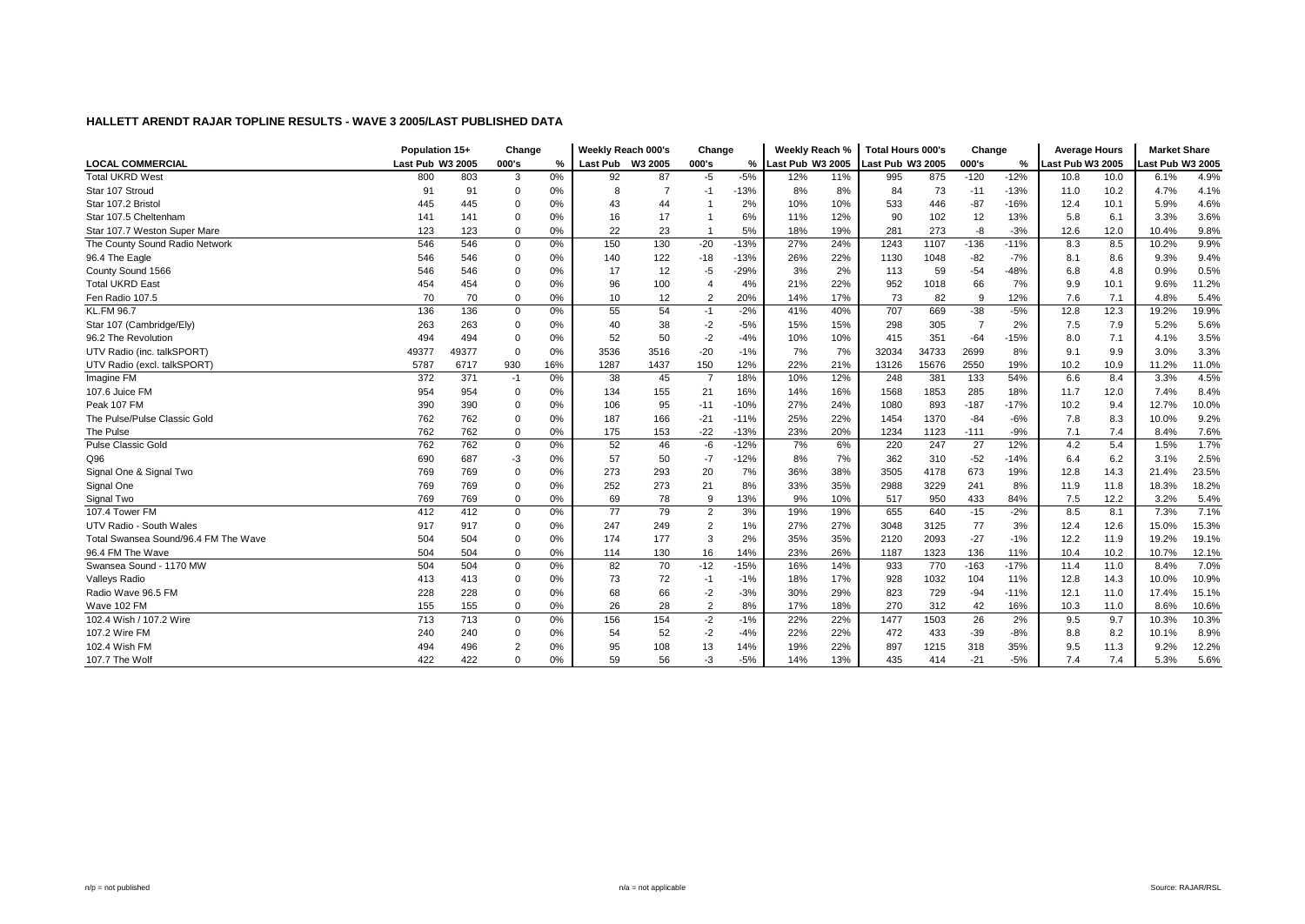|                                      | Population 15+   |       | Change         |       | Weekly Reach 000's |                | Change         |               | Weekly Reach %   |     | <b>Total Hours 000's</b> |       | Change         |        | <b>Average Hours</b> |      | <b>Market Share</b> |       |
|--------------------------------------|------------------|-------|----------------|-------|--------------------|----------------|----------------|---------------|------------------|-----|--------------------------|-------|----------------|--------|----------------------|------|---------------------|-------|
| <b>LOCAL COMMERCIAL</b>              | Last Pub W3 2005 |       | 000's          | %     | Last Pub W3 2005   |                | 000's          | $\frac{9}{6}$ | Last Pub W3 2005 |     | Last Pub W3 2005         |       | 000's          | %      | Last Pub W3 2005     |      | ast Pub W3 2005     |       |
| <b>Total UKRD West</b>               | 800              | 803   | 3              | 0%    | 92                 | 87             | $-5$           | $-5%$         | 12%              | 11% | 995                      | 875   | $-120$         | $-12%$ | 10.8                 | 10.0 | 6.1%                | 4.9%  |
| Star 107 Stroud                      | 91               | 91    | $\mathbf 0$    | $0\%$ | 8                  | $\overline{7}$ | -1             | $-13%$        | 8%               | 8%  | 84                       | 73    | $-11$          | $-13%$ | 11.0                 | 10.2 | 4.7%                | 4.1%  |
| Star 107.2 Bristo                    | 445              | 445   | $\mathbf 0$    | 0%    | 43                 | 44             |                | 2%            | 10%              | 10% | 533                      | 446   | $-87$          | $-16%$ | 12.4                 | 10.1 | 5.9%                | 4.6%  |
| Star 107.5 Cheltenham                | 141              | 141   | 0              | 0%    | 16                 | 17             |                | 6%            | 11%              | 12% | 90                       | 102   | 12             | 13%    | 5.8                  | 6.1  | 3.3%                | 3.6%  |
| Star 107.7 Weston Super Mare         | 123              | 123   | $\mathbf 0$    | 0%    | 22                 | 23             |                | 5%            | 18%              | 19% | 281                      | 273   | -8             | $-3%$  | 12.6                 | 12.0 | 10.4%               | 9.8%  |
| The County Sound Radio Network       | 546              | 546   | 0              | 0%    | 150                | 130            | $-20$          | $-13%$        | 27%              | 24% | 1243                     | 1107  | $-136$         | $-11%$ | 8.3                  | 8.5  | 10.2%               | 9.9%  |
| 96.4 The Eagle                       | 546              | 546   | $\Omega$       | 0%    | 140                | 122            | $-18$          | $-13%$        | 26%              | 22% | 1130                     | 1048  | $-82$          | $-7%$  | 8.1                  | 8.6  | 9.3%                | 9.4%  |
| County Sound 1566                    | 546              | 546   | 0              | 0%    | 17                 | 12             | -5             | $-29%$        | 3%               | 2%  | 113                      | 59    | $-54$          | $-48%$ | 6.8                  | 4.8  | 0.9%                | 0.5%  |
| <b>Total UKRD East</b>               | 454              | 454   | $\mathbf 0$    | 0%    | 96                 | 100            | 4              | 4%            | 21%              | 22% | 952                      | 1018  | 66             | 7%     | 9.9                  | 10.1 | 9.6%                | 11.2% |
| Fen Radio 107.5                      | 70               | 70    | $\mathbf 0$    | 0%    | 10                 | 12             | $\overline{2}$ | 20%           | 14%              | 17% | 73                       | 82    | -9             | 12%    | 7.6                  | 7.1  | 4.8%                | 5.4%  |
| <b>KL.FM 96.7</b>                    | 136              | 136   | 0              | 0%    | 55                 | 54             | $-1$           | $-2%$         | 41%              | 40% | 707                      | 669   | $-38$          | $-5%$  | 12.8                 | 12.3 | 19.2%               | 19.9% |
| Star 107 (Cambridge/Ely)             | 263              | 263   | $\mathbf 0$    | 0%    | 40                 | 38             | $-2$           | $-5%$         | 15%              | 15% | 298                      | 305   | $\overline{7}$ | 2%     | 7.5                  | 7.9  | 5.2%                | 5.6%  |
| 96.2 The Revolution                  | 494              | 494   | 0              | 0%    | 52                 | 50             | $-2$           | $-4%$         | 10%              | 10% | 415                      | 351   | $-64$          | $-15%$ | 8.0                  | 7.1  | 4.1%                | 3.5%  |
| UTV Radio (inc. talkSPORT)           | 49377            | 49377 | 0              | 0%    | 3536               | 3516           | $-20$          | $-1%$         | 7%               | 7%  | 32034                    | 34733 | 2699           | 8%     | 9.1                  | 9.9  | 3.0%                | 3.3%  |
| UTV Radio (excl. talkSPORT)          | 5787             | 6717  | 930            | 16%   | 1287               | 1437           | 150            | 12%           | 22%              | 21% | 13126                    | 15676 | 2550           | 19%    | 10.2                 | 10.9 | 11.2%               | 11.0% |
| Imagine FM                           | 372              | 371   | $-1$           | 0%    | 38                 | 45             | $\overline{7}$ | 18%           | 10%              | 12% | 248                      | 381   | 133            | 54%    | 6.6                  | 8.4  | 3.3%                | 4.5%  |
| 107.6 Juice FM                       | 954              | 954   | $\mathbf 0$    | 0%    | 134                | 155            | 21             | 16%           | 14%              | 16% | 1568                     | 1853  | 285            | 18%    | 11.7                 | 12.0 | 7.4%                | 8.4%  |
| Peak 107 FM                          | 390              | 390   | 0              | 0%    | 106                | 95             | $-11$          | $-10%$        | 27%              | 24% | 1080                     | 893   | $-187$         | $-17%$ | 10.2                 | 9.4  | 12.7%               | 10.0% |
| The Pulse/Pulse Classic Gold         | 762              | 762   | 0              | 0%    | 187                | 166            | $-21$          | $-11%$        | 25%              | 22% | 1454                     | 1370  | $-84$          | $-6%$  | 7.8                  | 8.3  | 10.0%               | 9.2%  |
| The Pulse                            | 762              | 762   | $\mathbf 0$    | 0%    | 175                | 153            | $-22$          | $-13%$        | 23%              | 20% | 1234                     | 1123  | $-111$         | $-9%$  | 7.1                  | 7.4  | 8.4%                | 7.6%  |
| Pulse Classic Gold                   | 762              | 762   | $\mathbf 0$    | 0%    | 52                 | 46             | -6             | $-12%$        | 7%               | 6%  | 220                      | 247   | 27             | 12%    | 4.2                  | 5.4  | 1.5%                | 1.7%  |
| Q96                                  | 690              | 687   | -3             | 0%    | 57                 | 50             | $-7$           | $-12%$        | 8%               | 7%  | 362                      | 310   | $-52$          | $-14%$ | 6.4                  | 6.2  | 3.1%                | 2.5%  |
| Signal One & Signal Two              | 769              | 769   | 0              | 0%    | 273                | 293            | 20             | 7%            | 36%              | 38% | 3505                     | 4178  | 673            | 19%    | 12.8                 | 14.3 | 21.4%               | 23.5% |
| Signal One                           | 769              | 769   | 0              | 0%    | 252                | 273            | 21             | 8%            | 33%              | 35% | 2988                     | 3229  | 241            | 8%     | 11.9                 | 11.8 | 18.3%               | 18.2% |
| Signal Two                           | 769              | 769   | $\mathbf 0$    | 0%    | 69                 | 78             | -9             | 13%           | 9%               | 10% | 517                      | 950   | 433            | 84%    | 7.5                  | 12.2 | 3.2%                | 5.4%  |
| 107.4 Tower FM                       | 412              | 412   | 0              | 0%    | 77                 | 79             | $\overline{2}$ | 3%            | 19%              | 19% | 655                      | 640   | $-15$          | $-2%$  | 8.5                  | 8.1  | 7.3%                | 7.1%  |
| UTV Radio - South Wales              | 917              | 917   | 0              | 0%    | 247                | 249            | $\overline{2}$ | 1%            | 27%              | 27% | 3048                     | 3125  | 77             | 3%     | 12.4                 | 12.6 | 15.0%               | 15.3% |
| Total Swansea Sound/96.4 FM The Wave | 504              | 504   | $\Omega$       | 0%    | 174                | 177            | 3              | 2%            | 35%              | 35% | 2120                     | 2093  | $-27$          | $-1%$  | 12.2                 | 11.9 | 19.2%               | 19.1% |
| 96.4 FM The Wave                     | 504              | 504   | $\mathbf 0$    | 0%    | 114                | 130            | 16             | 14%           | 23%              | 26% | 1187                     | 1323  | 136            | 11%    | 10.4                 | 10.2 | 10.7%               | 12.1% |
| Swansea Sound - 1170 MW              | 504              | 504   | $\mathbf 0$    | 0%    | 82                 | 70             | $-12$          | $-15%$        | 16%              | 14% | 933                      | 770   | $-163$         | $-17%$ | 11.4                 | 11.0 | 8.4%                | 7.0%  |
| <b>Valleys Radio</b>                 | 413              | 413   | $\mathbf 0$    | 0%    | 73                 | 72             | $-1$           | $-1%$         | 18%              | 17% | 928                      | 1032  | 104            | 11%    | 12.8                 | 14.3 | 10.0%               | 10.9% |
| Radio Wave 96.5 FM                   | 228              | 228   | $\mathbf 0$    | 0%    | 68                 | 66             | $-2$           | $-3%$         | 30%              | 29% | 823                      | 729   | $-94$          | $-11%$ | 12.1                 | 11.0 | 17.4%               | 15.1% |
| Wave 102 FM                          | 155              | 155   | $\mathbf 0$    | 0%    | 26                 | 28             | $\overline{2}$ | 8%            | 17%              | 18% | 270                      | 312   | 42             | 16%    | 10.3                 | 11.0 | 8.6%                | 10.6% |
| 102.4 Wish / 107.2 Wire              | 713              | 713   | 0              | 0%    | 156                | 154            | $-2$           | $-1%$         | 22%              | 22% | 1477                     | 1503  | 26             | 2%     | 9.5                  | 9.7  | 10.3%               | 10.3% |
| 107.2 Wire FM                        | 240              | 240   | 0              | 0%    | 54                 | 52             | $-2$           | $-4%$         | 22%              | 22% | 472                      | 433   | $-39$          | $-8%$  | 8.8                  | 8.2  | 10.1%               | 8.9%  |
| 102.4 Wish FM                        | 494              | 496   | $\overline{2}$ | 0%    | 95                 | 108            | 13             | 14%           | 19%              | 22% | 897                      | 1215  | 318            | 35%    | 9.5                  | 11.3 | 9.2%                | 12.2% |
| 107.7 The Wolf                       | 422              | 422   | $\Omega$       | 0%    | 59                 | 56             | -3             | $-5%$         | 14%              | 13% | 435                      | 414   | $-21$          | $-5%$  | 7.4                  | 7.4  | 5.3%                | 5.6%  |